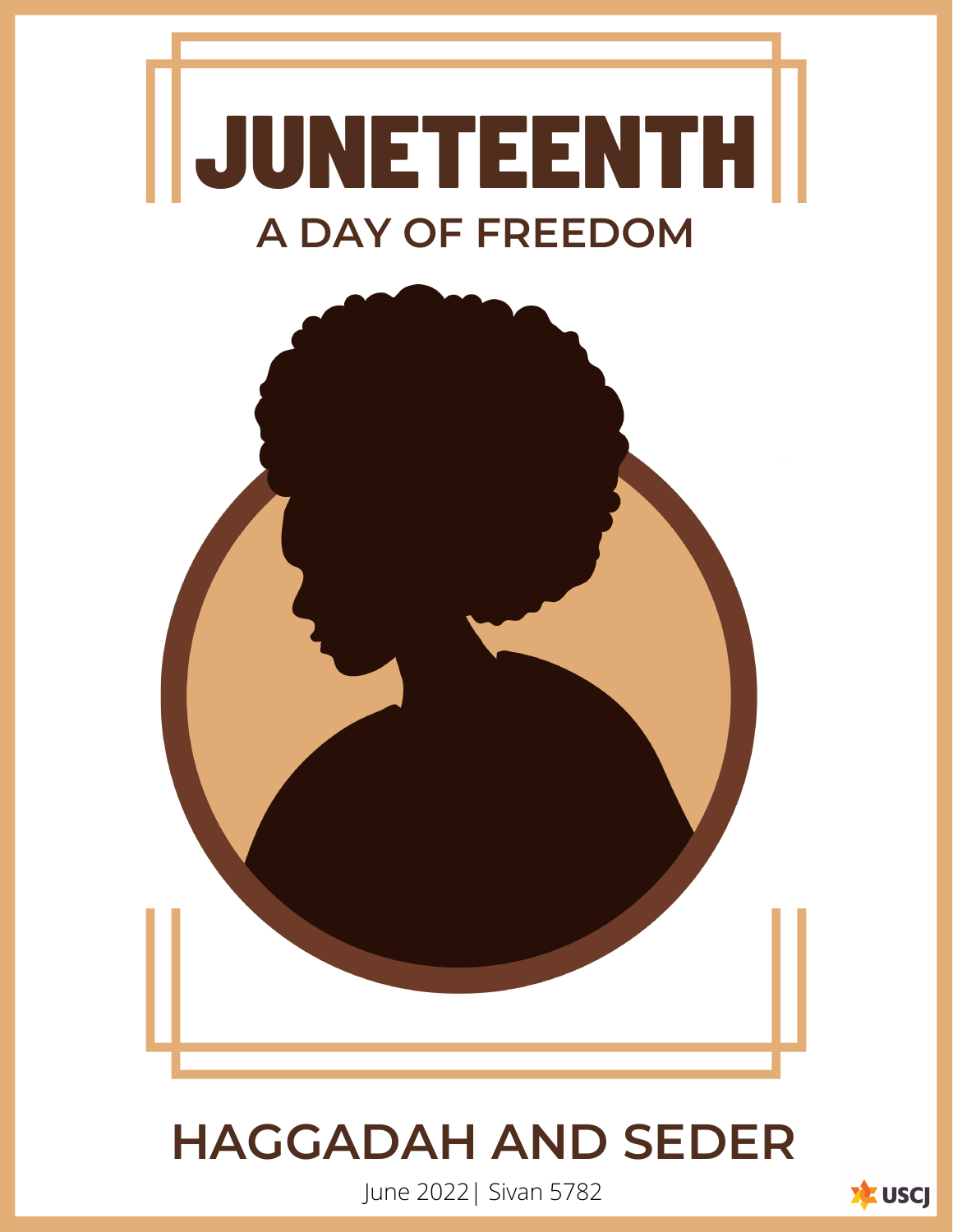



# **HAGGADAH AND SEDER**

June 2022| Sivan 5782

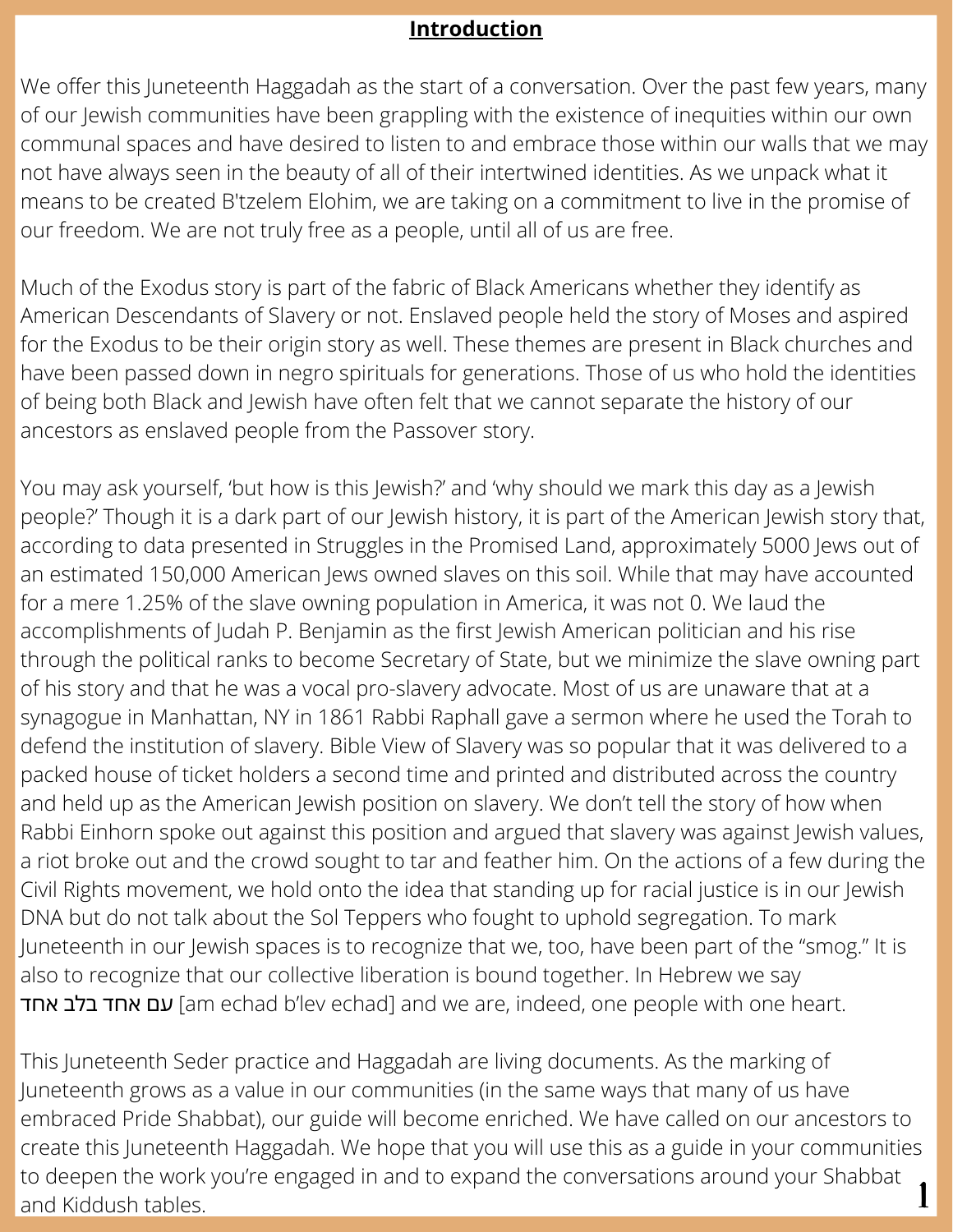#### **Introduction**

We offer this Juneteenth Haggadah as the start of a conversation. Over the past few years, many of our Jewish communities have been grappling with the existence of inequities within our own communal spaces and have desired to listen to and embrace those within our walls that we may not have always seen in the beauty of all of their intertwined identities. As we unpack what it means to be created B'tzelem Elohim, we are taking on a commitment to live in the promise of our freedom. We are not truly free as a people, until all of us are free.

Much of the Exodus story is part of the fabric of Black Americans whether they identify as American Descendants of Slavery or not. Enslaved people held the story of Moses and aspired for the Exodus to be their origin story as well. These themes are present in Black churches and have been passed down in negro spirituals for generations. Those of us who hold the identities of being both Black and Jewish have often felt that we cannot separate the history of our ancestors as enslaved people from the Passover story.

You may ask yourself, 'but how is this Jewish?' and 'why should we mark this day as a Jewish people?' Though it is a dark part of our Jewish history, it is part of the American Jewish story that, according to data presented in Struggles in the Promised Land, approximately 5000 Jews out of an estimated 150,000 American Jews owned slaves on this soil. While that may have accounted for a mere 1.25% of the slave owning population in America, it was not 0. We laud the accomplishments of Judah P. Benjamin as the first Jewish American politician and his rise through the political ranks to become Secretary of State, but we minimize the slave owning part of his story and that he was a vocal pro-slavery advocate. Most of us are unaware that at a synagogue in Manhattan, NY in 1861 Rabbi Raphall gave a sermon where he used the Torah to defend the institution of slavery. Bible View of Slavery was so popular that it was delivered to a packed house of ticket holders a second time and printed and distributed across the country and held up as the American Jewish position on slavery. We don't tell the story of how when Rabbi Einhorn spoke out against this position and argued that slavery was against Jewish values, a riot broke out and the crowd sought to tar and feather him. On the actions of a few during the Civil Rights movement, we hold onto the idea that standing up for racial justice is in our Jewish DNA but do not talk about the Sol Teppers who fought to uphold segregation. To mark Juneteenth in our Jewish spaces is to recognize that we, too, have been part of the "smog." It is also to recognize that our collective liberation is bound together. In Hebrew we say עם אחד בלב אחד (am echad b'lev echad] and we are, indeed, one people with one heart.

This Juneteenth Seder practice and Haggadah are living documents. As the marking of Juneteenth grows as a value in our communities (in the same ways that many of us have embraced Pride Shabbat), our guide will become enriched. We have called on our ancestors to create this Juneteenth Haggadah. We hope that you will use this as a guide in your communities to deepen the work you're engaged in and to expand the conversations around your Shabbat and Kiddush tables.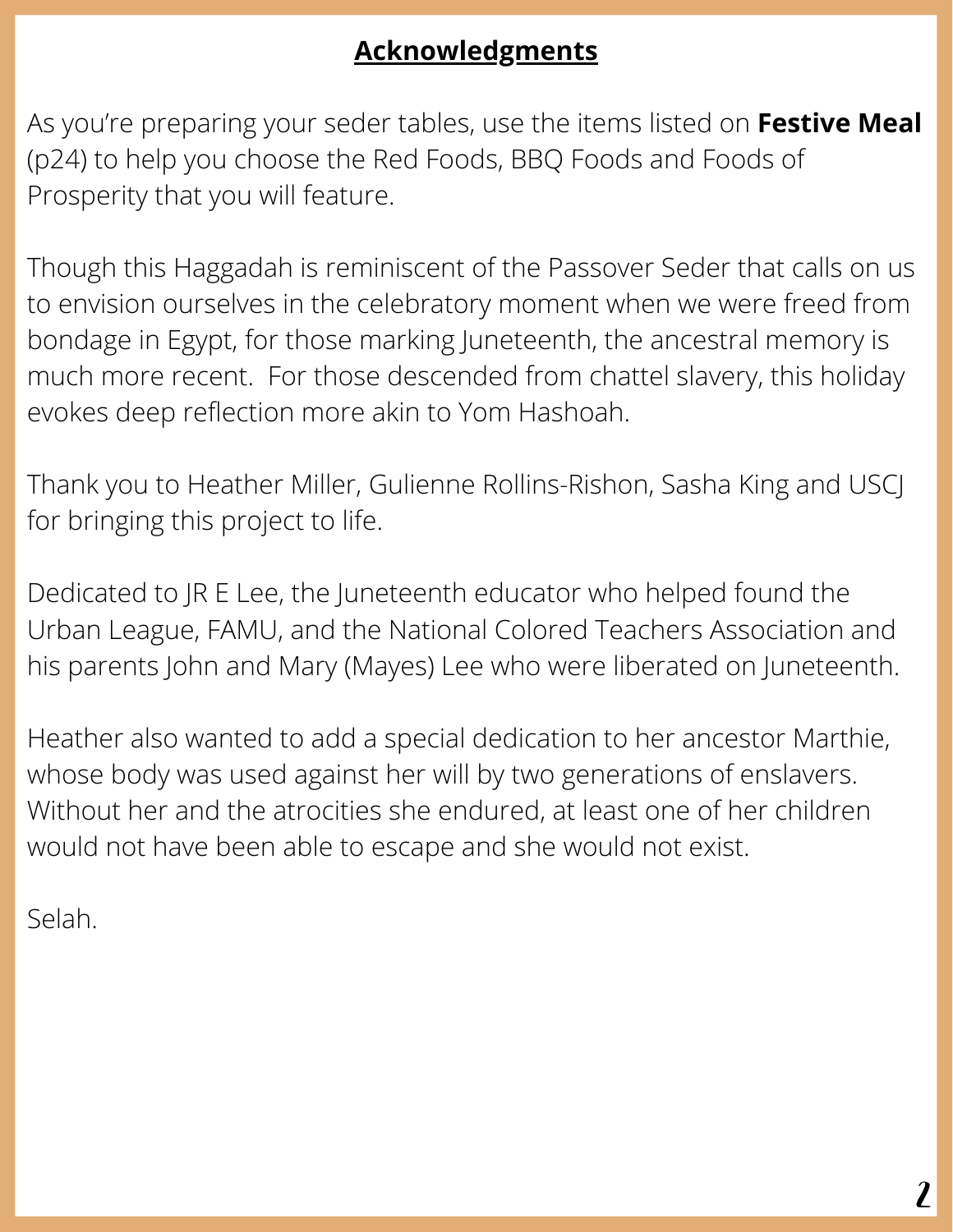# **Acknowledgments**

As you're preparing your seder tables, use the items listed on **Festive Meal** (p24) to help you choose the Red Foods, BBQ Foods and Foods of Prosperity that you will feature.

Though this Haggadah is reminiscent of the Passover Seder that calls on us to envision ourselves in the celebratory moment when we were freed from bondage in Egypt, for those marking Juneteenth, the ancestral memory is much more recent. For those descended from chattel slavery, this holiday evokes deep reflection more akin to Yom Hashoah.

Thank you to Heather Miller, Gulienne Rollins-Rishon, Sasha King and USCJ for bringing this project to life.

Dedicated to JR E Lee, the Juneteenth educator who helped found the Urban League, FAMU, and the National Colored Teachers Association and his parents John and Mary (Mayes) Lee who were liberated on Juneteenth.

Heather also wanted to add a special dedication to her ancestor Marthie, whose body was used against her will by two generations of enslavers. Without her and the atrocities she endured, at least one of her children would not have been able to escape and she would not exist.

Selah.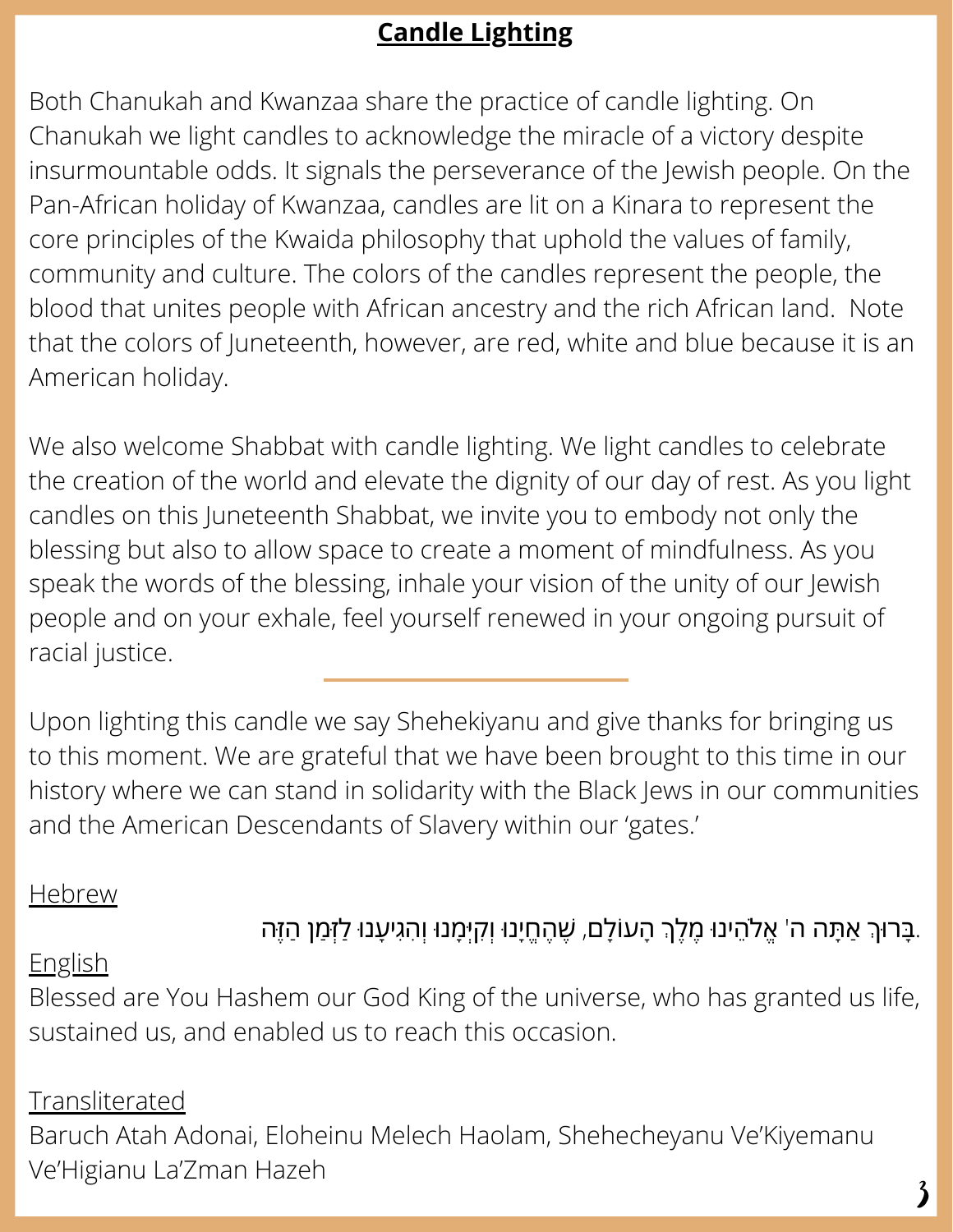# **Candle Lighting**

Both Chanukah and Kwanzaa share the practice of candle lighting. On Chanukah we light candles to acknowledge the miracle of a victory despite insurmountable odds. It signals the perseverance of the Jewish people. On the Pan-African holiday of Kwanzaa, candles are lit on a Kinara to represent the core principles of the Kwaida philosophy that uphold the values of family, community and culture. The colors of the candles represent the people, the blood that unites people with African ancestry and the rich African land. Note that the colors of Juneteenth, however, are red, white and blue because it is an American holiday.

We also welcome Shabbat with candle lighting. We light candles to celebrate the creation of the world and elevate the dignity of our day of rest. As you light candles on this Juneteenth Shabbat, we invite you to embody not only the blessing but also to allow space to create a moment of mindfulness. As you speak the words of the blessing, inhale your vision of the unity of our Jewish people and on your exhale, feel yourself renewed in your ongoing pursuit of racial justice.

Upon lighting this candle we say Shehekiyanu and give thanks for bringing us to this moment. We are grateful that we have been brought to this time in our history where we can stand in solidarity with the Black Jews in our communities and the American Descendants of Slavery within our 'gates.'

## **Hebrew**

# ָבָּרוּךְ אַתָּה ה' אֱלֹהֵינוּ מֶלֶךְ הָעוֹלָם, שֶׁהֶחֱיָנוּ וְקִיְּמָנוּ וְהִגִיעָנוּ לַזְּמַן הַזֶּה.

## English

Blessed are You Hashem our God King of the universe, who has granted us life, sustained us, and enabled us to reach this occasion.

## Transliterated

Baruch Atah Adonai, Eloheinu Melech Haolam, Shehecheyanu Ve'Kiyemanu Ve'Higianu La'Zman Hazeh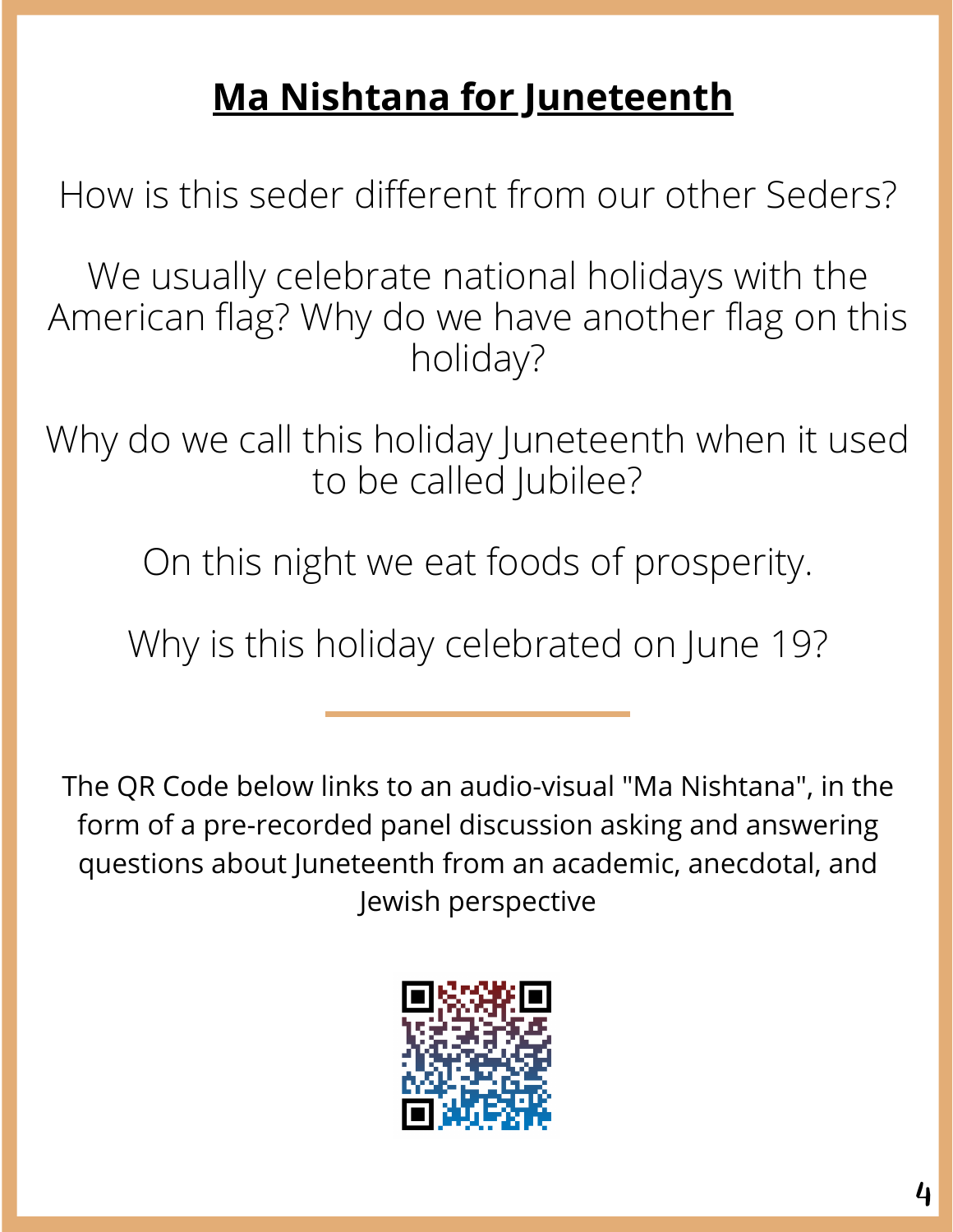# **Ma Nishtana for Juneteenth**

How is this seder different from our other Seders?

We usually celebrate national holidays with the American flag? Why do we have another flag on this holiday?

Why do we call this holiday Juneteenth when it used to be called Jubilee?

On this night we eat foods of prosperity.

Why is this holiday celebrated on June 19?

The QR Code below links to an audio-visual "Ma Nishtana", in the form of a pre-recorded panel discussion asking and answering questions about Juneteenth from an academic, anecdotal, and Jewish perspective

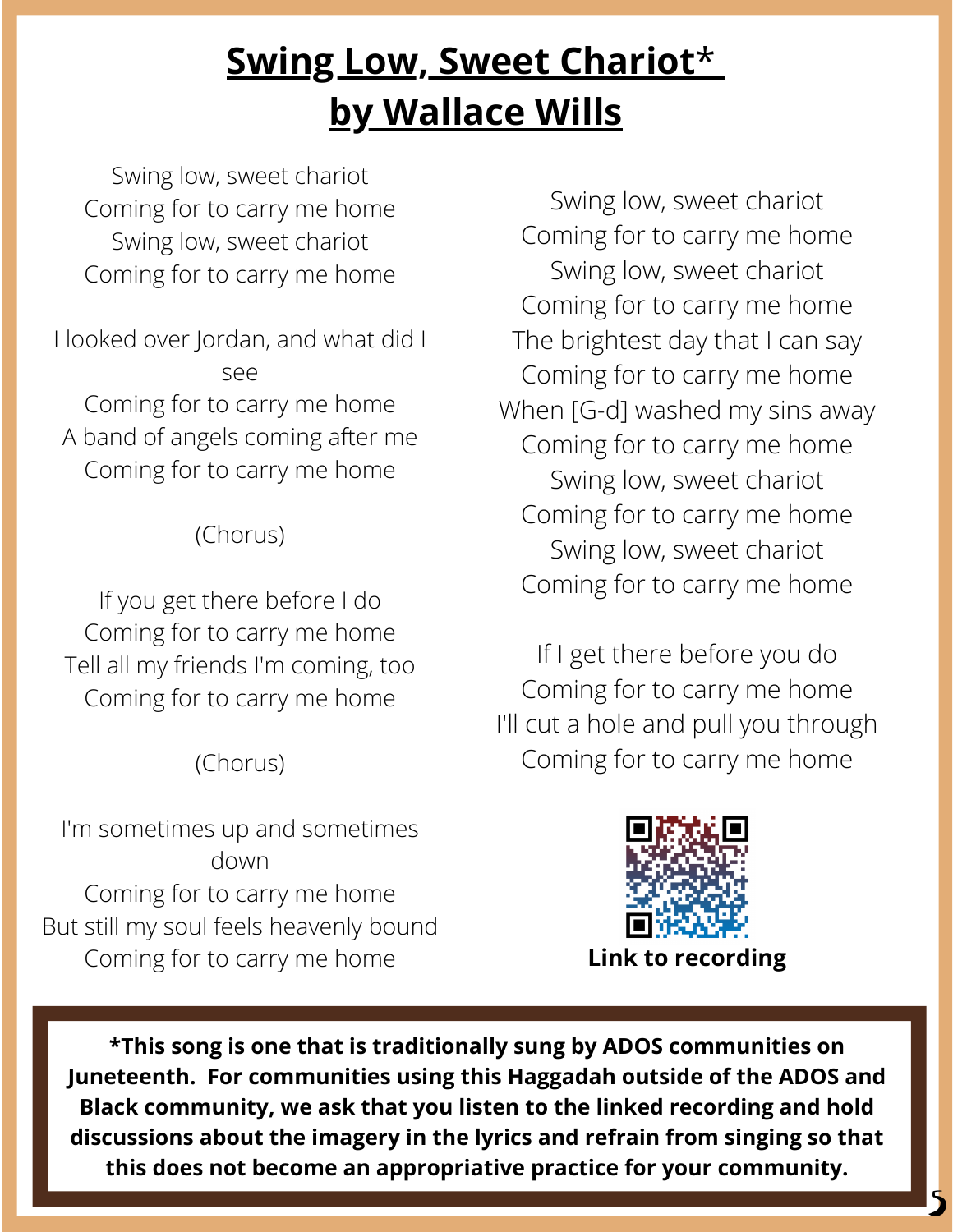# **Swing Low, Sweet [Chariot](https://www.youtube.com/watch?v=HYbRwSjAir4)**[\\*](https://www.youtube.com/watch?v=HYbRwSjAir4) **by [Wallace](https://www.youtube.com/watch?v=HYbRwSjAir4) Wills**

Swing low, sweet chariot Coming for to carry me home Swing low, sweet chariot Coming for to carry me home

I looked over Jordan, and what did I see Coming for to carry me home A band of angels coming after me Coming for to carry me home

# (Chorus)

If you get there before I do Coming for to carry me home Tell all my friends I'm coming, too Coming for to carry me home

# (Chorus)

I'm sometimes up and sometimes down Coming for to carry me home But still my soul feels heavenly bound Coming for to carry me home

Swing low, sweet chariot Coming for to carry me home Swing low, sweet chariot Coming for to carry me home The brightest day that I can say Coming for to carry me home When [G-d] washed my sins away Coming for to carry me home Swing low, sweet chariot Coming for to carry me home Swing low, sweet chariot Coming for to carry me home

If I get there before you do Coming for to carry me home I'll cut a hole and pull you through Coming for to carry me home



5

**\*This song is one that is traditionally sung by ADOS communities on Juneteenth. For communities using this Haggadah outside of the ADOS and Black community, we ask that you listen to the linked recording and hold discussions about the imagery in the lyrics and refrain from singing so that this does not become an appropriative practice for your community.**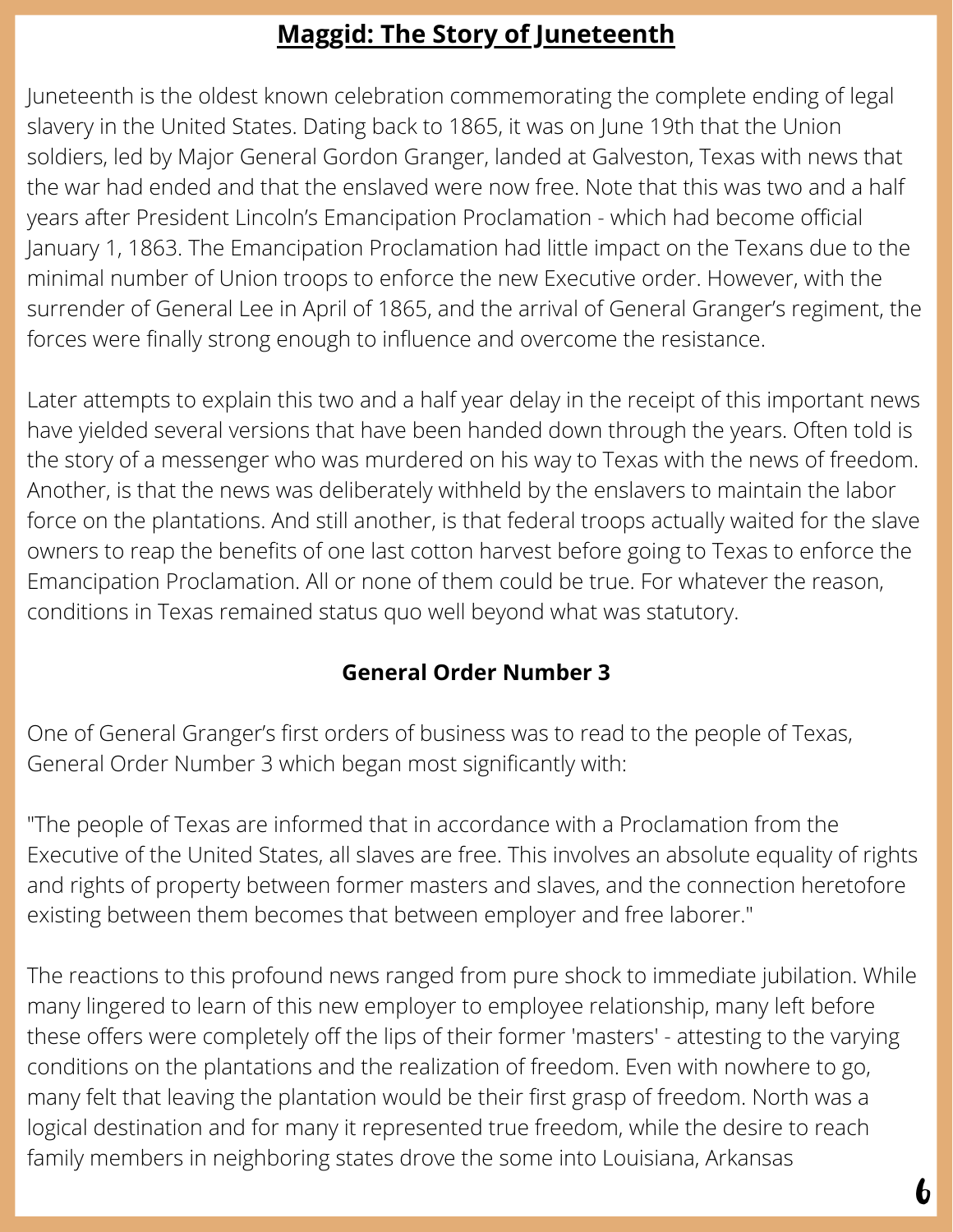# **Maggid: The Story of Juneteenth**

Juneteenth is the oldest known celebration commemorating the complete ending of legal slavery in the United States. Dating back to 1865, it was on June 19th that the Union soldiers, led by Major General Gordon Granger, landed at Galveston, Texas with news that the war had ended and that the enslaved were now free. Note that this was two and a half years after President Lincoln's Emancipation Proclamation - which had become official January 1, 1863. The Emancipation Proclamation had little impact on the Texans due to the minimal number of Union troops to enforce the new Executive order. However, with the surrender of General Lee in April of 1865, and the arrival of General Granger's regiment, the forces were finally strong enough to influence and overcome the resistance.

Later attempts to explain this two and a half year delay in the receipt of this important news have yielded several versions that have been handed down through the years. Often told is the story of a messenger who was murdered on his way to Texas with the news of freedom. Another, is that the news was deliberately withheld by the enslavers to maintain the labor force on the plantations. And still another, is that federal troops actually waited for the slave owners to reap the benefits of one last cotton harvest before going to Texas to enforce the Emancipation Proclamation. All or none of them could be true. For whatever the reason, conditions in Texas remained status quo well beyond what was statutory.

#### **General Order Number 3**

One of General Granger's first orders of business was to read to the people of Texas, General Order Number 3 which began most significantly with:

"The people of Texas are informed that in accordance with a Proclamation from the Executive of the United States, all slaves are free. This involves an absolute equality of rights and rights of property between former masters and slaves, and the connection heretofore existing between them becomes that between employer and free laborer."

The reactions to this profound news ranged from pure shock to immediate jubilation. While many lingered to learn of this new employer to employee relationship, many left before these offers were completely off the lips of their former 'masters' - attesting to the varying conditions on the plantations and the realization of freedom. Even with nowhere to go, many felt that leaving the plantation would be their first grasp of freedom. North was a logical destination and for many it represented true freedom, while the desire to reach family members in neighboring states drove the some into Louisiana, Arkansas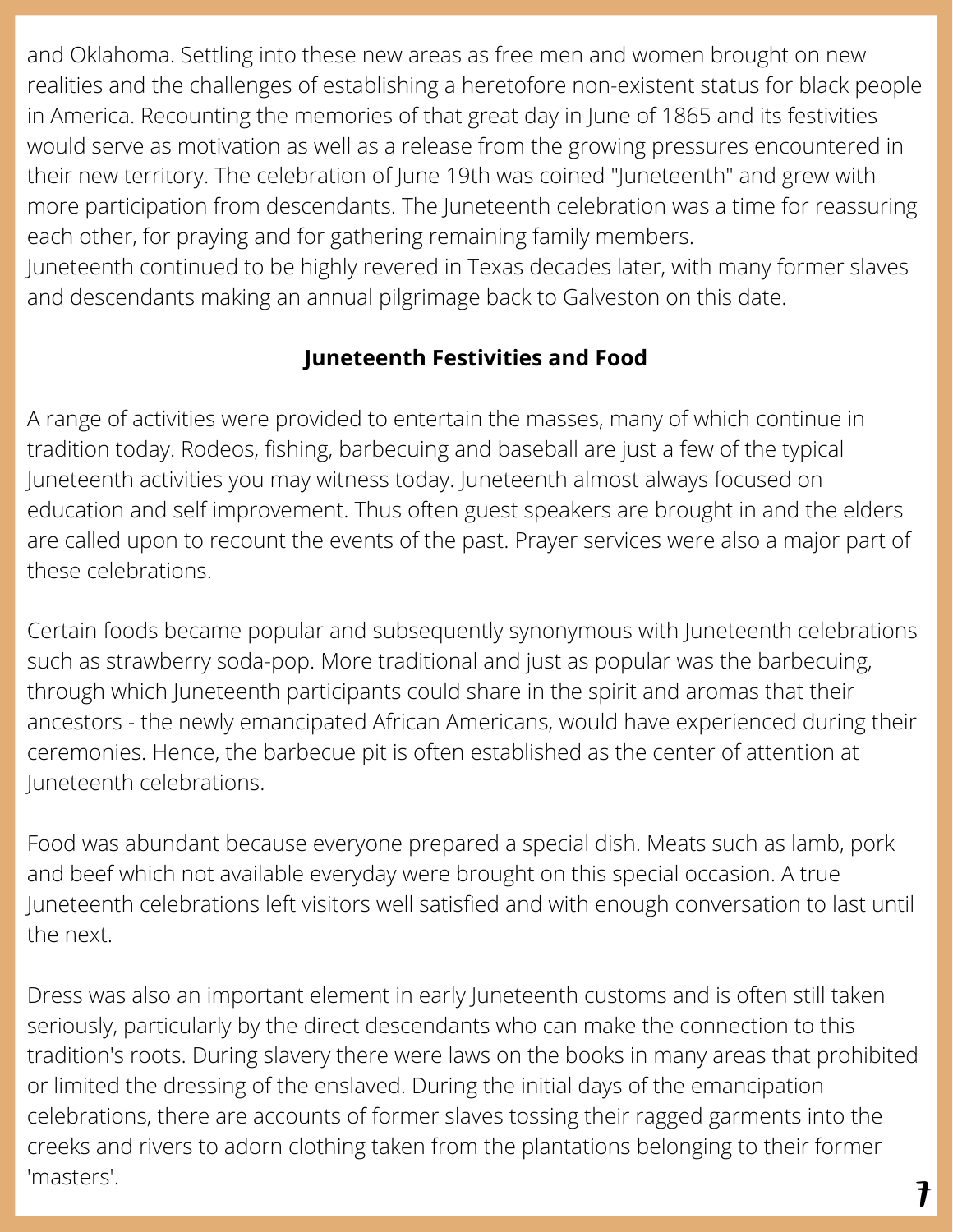and Oklahoma. Settling into these new areas as free men and women brought on new realities and the challenges of establishing a heretofore non-existent status for black people in America. Recounting the memories of that great day in June of 1865 and its festivities would serve as motivation as well as a release from the growing pressures encountered in their new territory. The celebration of June 19th was coined "Juneteenth" and grew with more participation from descendants. The Juneteenth celebration was a time for reassuring each other, for praying and for gathering remaining family members.

Juneteenth continued to be highly revered in Texas decades later, with many former slaves and descendants making an annual pilgrimage back to Galveston on this date.

# **Juneteenth Festivities and Food**

A range of activities were provided to entertain the masses, many of which continue in tradition today. Rodeos, fishing, barbecuing and baseball are just a few of the typical Juneteenth activities you may witness today. Juneteenth almost always focused on education and self improvement. Thus often guest speakers are brought in and the elders are called upon to recount the events of the past. Prayer services were also a major part of these celebrations.

Certain foods became popular and subsequently synonymous with Juneteenth celebrations such as strawberry soda-pop. More traditional and just as popular was the barbecuing, through which Juneteenth participants could share in the spirit and aromas that their ancestors - the newly emancipated African Americans, would have experienced during their ceremonies. Hence, the barbecue pit is often established as the center of attention at Juneteenth celebrations.

Food was abundant because everyone prepared a special dish. Meats such as lamb, pork and beef which not available everyday were brought on this special occasion. A true Juneteenth celebrations left visitors well satisfied and with enough conversation to last until the next.

Dress was also an important element in early Juneteenth customs and is often still taken seriously, particularly by the direct descendants who can make the connection to this tradition's roots. During slavery there were laws on the books in many areas that prohibited or limited the dressing of the enslaved. During the initial days of the emancipation celebrations, there are accounts of former slaves tossing their ragged garments into the creeks and rivers to adorn clothing taken from the plantations belonging to their former 'masters'.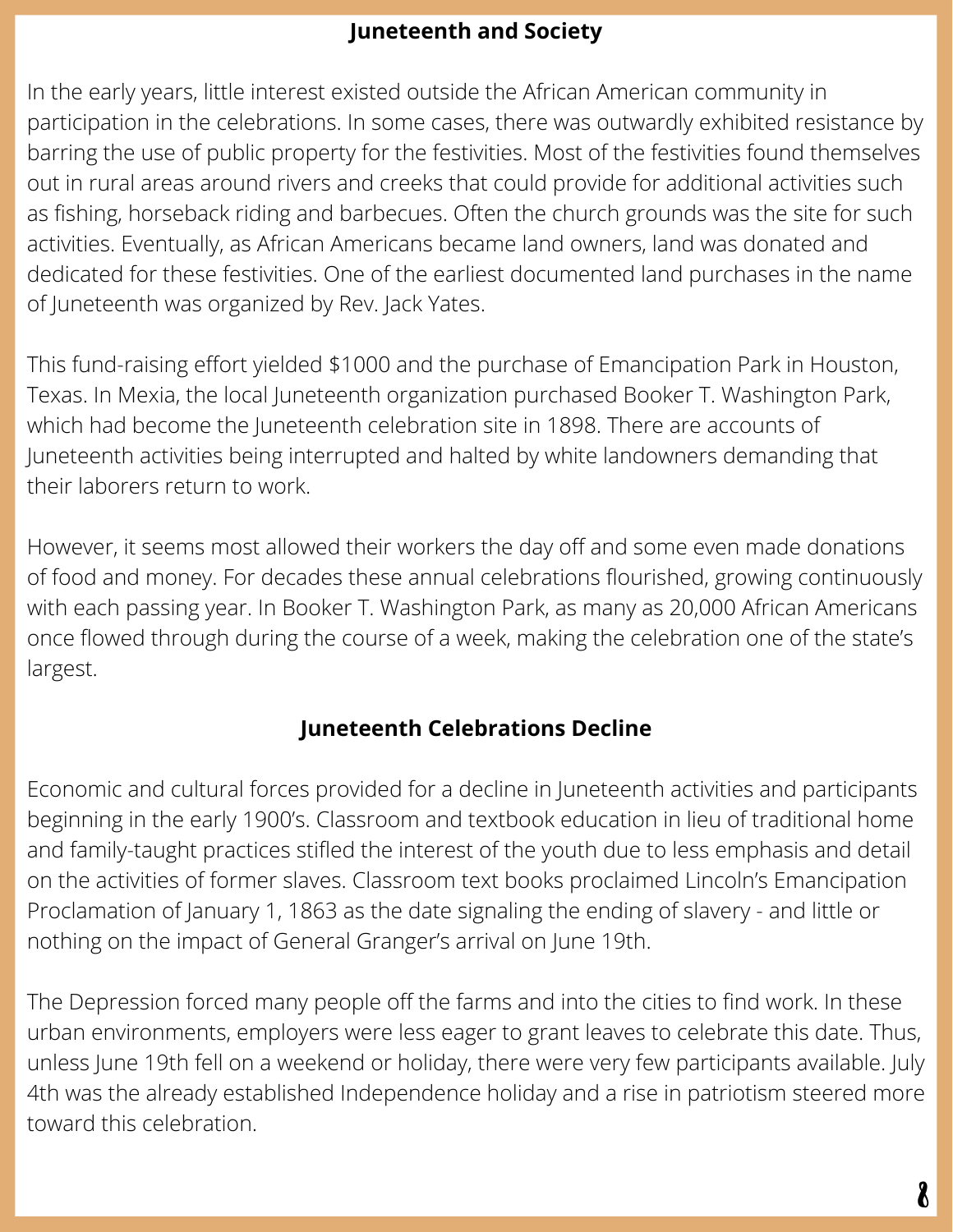#### **Juneteenth and Society**

In the early years, little interest existed outside the African American community in participation in the celebrations. In some cases, there was outwardly exhibited resistance by barring the use of public property for the festivities. Most of the festivities found themselves out in rural areas around rivers and creeks that could provide for additional activities such as fishing, horseback riding and barbecues. Often the church grounds was the site for such activities. Eventually, as African Americans became land owners, land was donated and dedicated for these festivities. One of the earliest documented land purchases in the name of Juneteenth was organized by Rev. Jack Yates.

This fund-raising effort yielded \$1000 and the purchase of Emancipation Park in Houston, Texas. In Mexia, the local Juneteenth organization purchased Booker T. Washington Park, which had become the Juneteenth celebration site in 1898. There are accounts of Juneteenth activities being interrupted and halted by white landowners demanding that their laborers return to work.

However, it seems most allowed their workers the day off and some even made donations of food and money. For decades these annual celebrations flourished, growing continuously with each passing year. In Booker T. Washington Park, as many as 20,000 African Americans once flowed through during the course of a week, making the celebration one of the state's largest.

#### **Juneteenth Celebrations Decline**

Economic and cultural forces provided for a decline in Juneteenth activities and participants beginning in the early 1900's. Classroom and textbook education in lieu of traditional home and family-taught practices stifled the interest of the youth due to less emphasis and detail on the activities of former slaves. Classroom text books proclaimed Lincoln's Emancipation Proclamation of January 1, 1863 as the date signaling the ending of slavery - and little or nothing on the impact of General Granger's arrival on June 19th.

The Depression forced many people off the farms and into the cities to find work. In these urban environments, employers were less eager to grant leaves to celebrate this date. Thus, unless June 19th fell on a weekend or holiday, there were very few participants available. July 4th was the already established Independence holiday and a rise in patriotism steered more toward this celebration.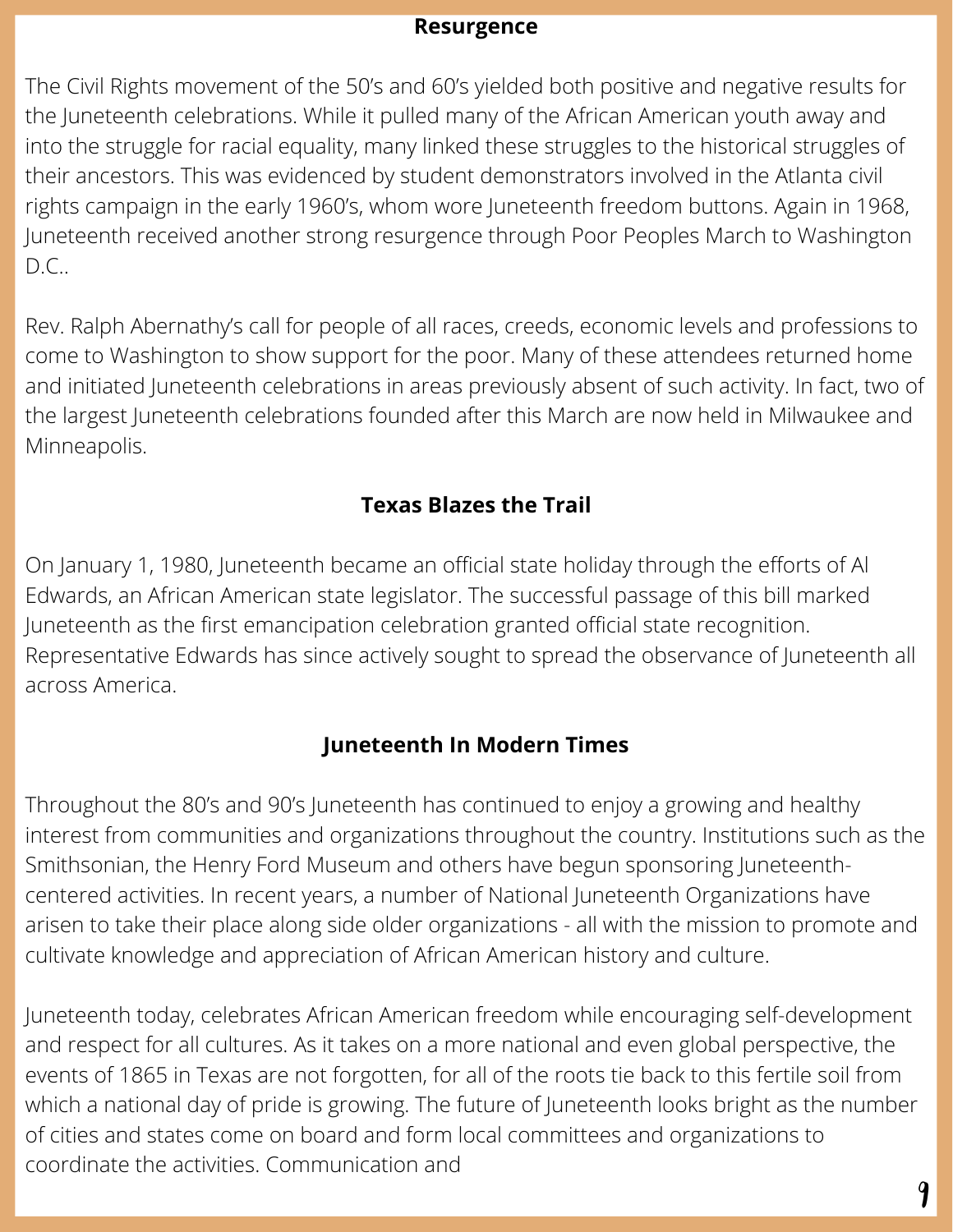#### **Resurgence**

The Civil Rights movement of the 50's and 60's yielded both positive and negative results for the Juneteenth celebrations. While it pulled many of the African American youth away and into the struggle for racial equality, many linked these struggles to the historical struggles of their ancestors. This was evidenced by student demonstrators involved in the Atlanta civil rights campaign in the early 1960's, whom wore Juneteenth freedom buttons. Again in 1968, Juneteenth received another strong resurgence through Poor Peoples March to Washington D.C..

Rev. Ralph Abernathy's call for people of all races, creeds, economic levels and professions to come to Washington to show support for the poor. Many of these attendees returned home and initiated Juneteenth celebrations in areas previously absent of such activity. In fact, two of the largest Juneteenth celebrations founded after this March are now held in Milwaukee and Minneapolis.

#### **Texas Blazes the Trail**

On January 1, 1980, Juneteenth became an official state holiday through the efforts of Al Edwards, an African American state legislator. The successful passage of this bill marked Juneteenth as the first emancipation celebration granted official state recognition. Representative Edwards has since actively sought to spread the observance of Juneteenth all across America.

#### **Juneteenth In Modern Times**

Throughout the 80's and 90's Juneteenth has continued to enjoy a growing and healthy interest from communities and organizations throughout the country. Institutions such as the Smithsonian, the Henry Ford Museum and others have begun sponsoring Juneteenthcentered activities. In recent years, a number of National Juneteenth Organizations have arisen to take their place along side older organizations - all with the mission to promote and cultivate knowledge and appreciation of African American history and culture.

Juneteenth today, celebrates African American freedom while encouraging self-development and respect for all cultures. As it takes on a more national and even global perspective, the events of 1865 in Texas are not forgotten, for all of the roots tie back to this fertile soil from which a national day of pride is growing. The future of Juneteenth looks bright as the number of cities and states come on board and form local committees and organizations to coordinate the activities. Communication and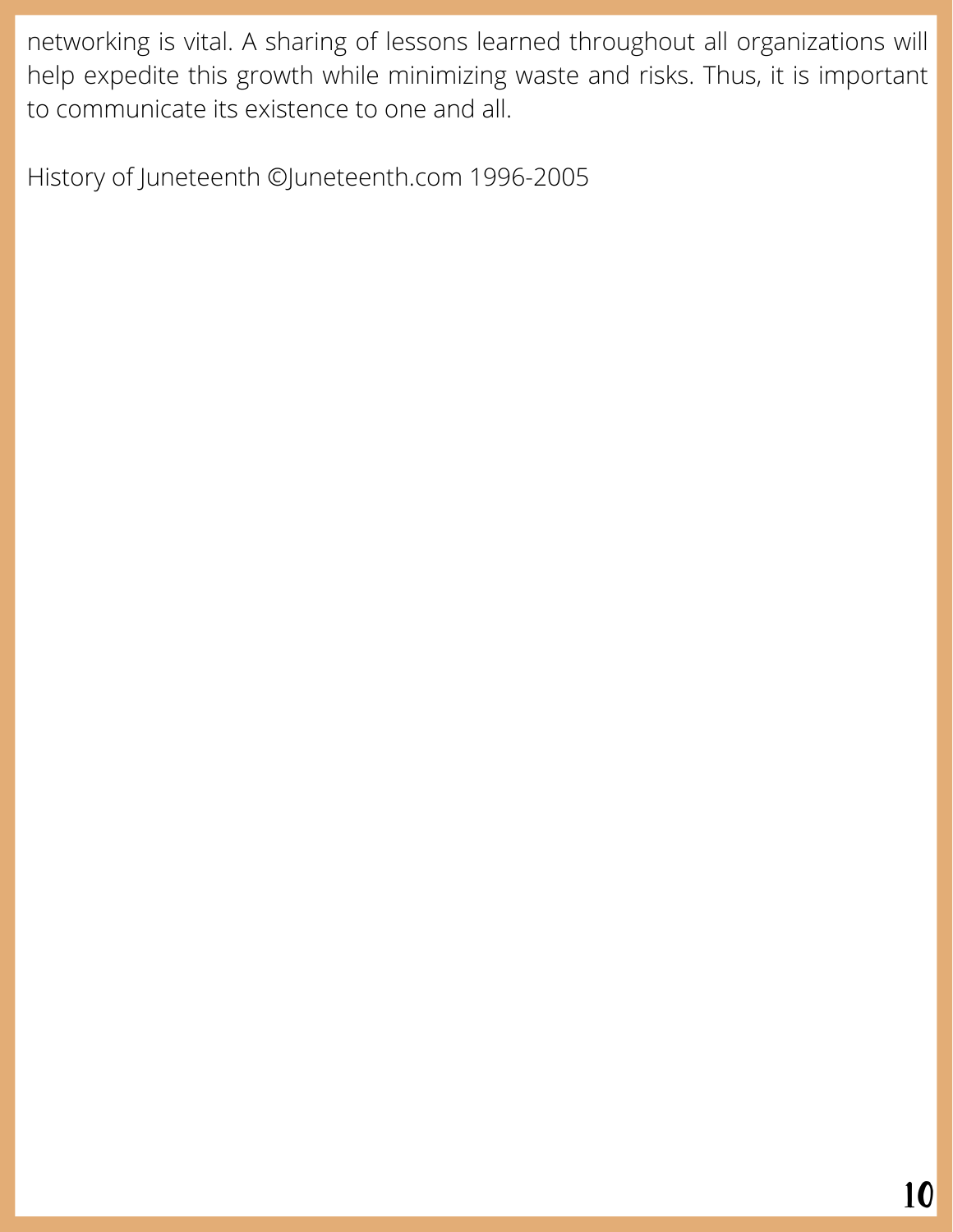networking is vital. A sharing of lessons learned throughout all organizations will help expedite this growth while minimizing waste and risks. Thus, it is important to communicate its existence to one and all.

History of Juneteenth ©Juneteenth.com 1996-2005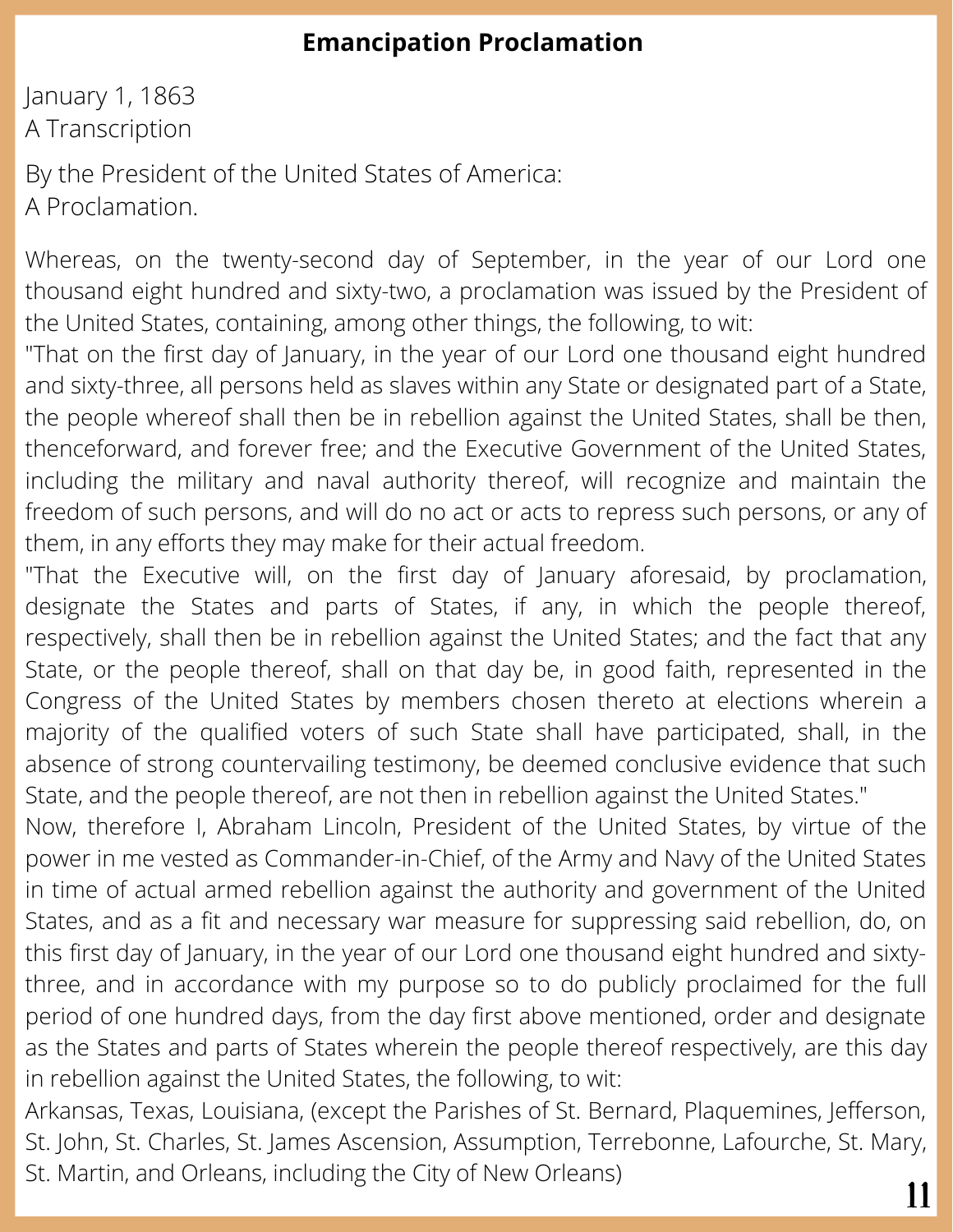## **Emancipation Proclamation**

January 1, 1863 A Transcription

By the President of the United States of America: A Proclamation.

Whereas, on the twenty-second day of September, in the year of our Lord one thousand eight hundred and sixty-two, a proclamation was issued by the President of the United States, containing, among other things, the following, to wit:

"That on the first day of January, in the year of our Lord one thousand eight hundred and sixty-three, all persons held as slaves within any State or designated part of a State, the people whereof shall then be in rebellion against the United States, shall be then, thenceforward, and forever free; and the Executive Government of the United States, including the military and naval authority thereof, will recognize and maintain the freedom of such persons, and will do no act or acts to repress such persons, or any of them, in any efforts they may make for their actual freedom.

"That the Executive will, on the first day of January aforesaid, by proclamation, designate the States and parts of States, if any, in which the people thereof, respectively, shall then be in rebellion against the United States; and the fact that any State, or the people thereof, shall on that day be, in good faith, represented in the Congress of the United States by members chosen thereto at elections wherein a majority of the qualified voters of such State shall have participated, shall, in the absence of strong countervailing testimony, be deemed conclusive evidence that such State, and the people thereof, are not then in rebellion against the United States."

Now, therefore I, Abraham Lincoln, President of the United States, by virtue of the power in me vested as Commander-in-Chief, of the Army and Navy of the United States in time of actual armed rebellion against the authority and government of the United States, and as a fit and necessary war measure for suppressing said rebellion, do, on this first day of January, in the year of our Lord one thousand eight hundred and sixtythree, and in accordance with my purpose so to do publicly proclaimed for the full period of one hundred days, from the day first above mentioned, order and designate as the States and parts of States wherein the people thereof respectively, are this day in rebellion against the United States, the following, to wit:

Arkansas, Texas, Louisiana, (except the Parishes of St. Bernard, Plaquemines, Jefferson, St. John, St. Charles, St. James Ascension, Assumption, Terrebonne, Lafourche, St. Mary, St. Martin, and Orleans, including the City of New Orleans)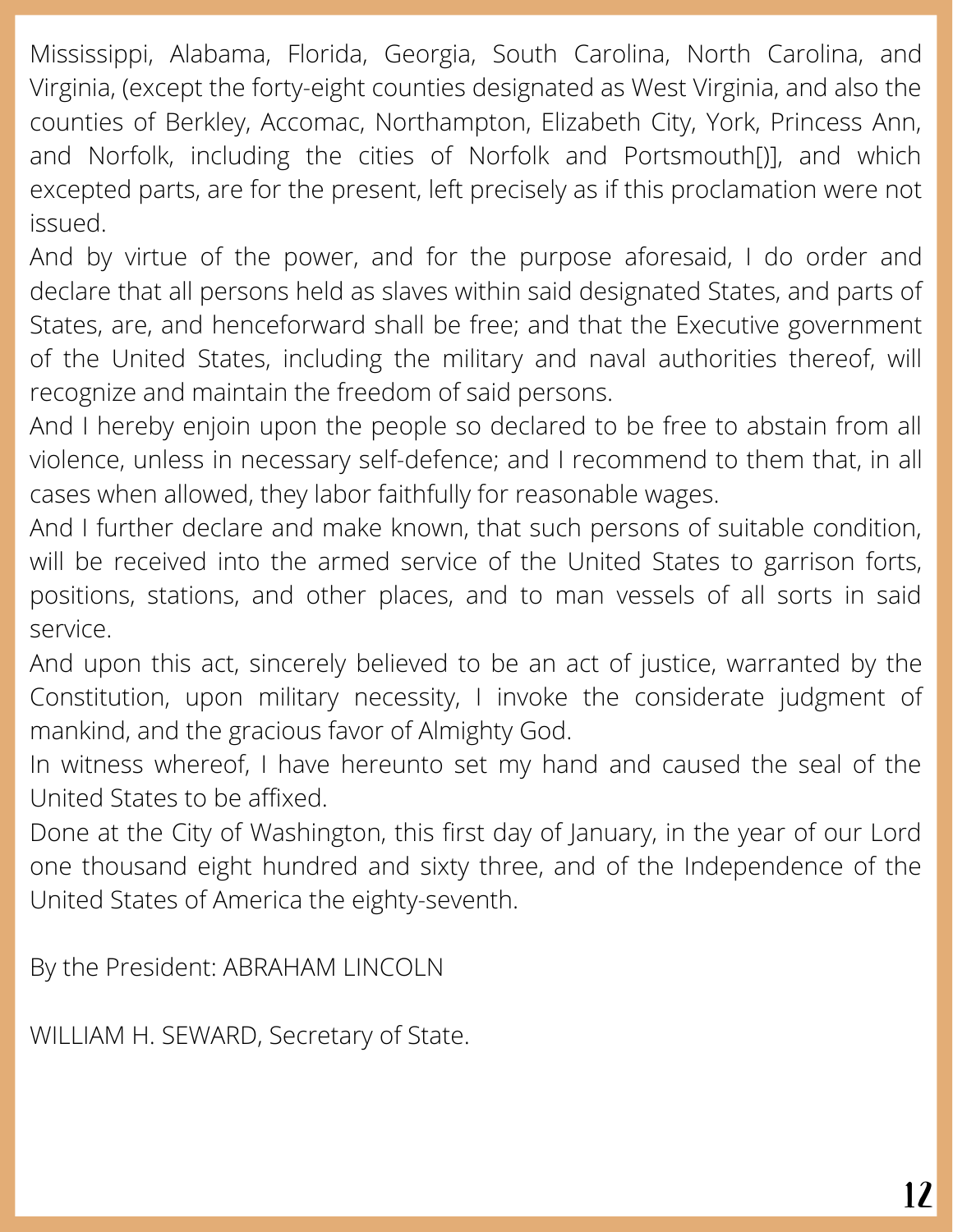Mississippi, Alabama, Florida, Georgia, South Carolina, North Carolina, and Virginia, (except the forty-eight counties designated as West Virginia, and also the counties of Berkley, Accomac, Northampton, Elizabeth City, York, Princess Ann, and Norfolk, including the cities of Norfolk and Portsmouth[)], and which excepted parts, are for the present, left precisely as if this proclamation were not issued.

And by virtue of the power, and for the purpose aforesaid, I do order and declare that all persons held as slaves within said designated States, and parts of States, are, and henceforward shall be free; and that the Executive government of the United States, including the military and naval authorities thereof, will recognize and maintain the freedom of said persons.

And I hereby enjoin upon the people so declared to be free to abstain from all violence, unless in necessary self-defence; and I recommend to them that, in all cases when allowed, they labor faithfully for reasonable wages.

And I further declare and make known, that such persons of suitable condition, will be received into the armed service of the United States to garrison forts, positions, stations, and other places, and to man vessels of all sorts in said service.

And upon this act, sincerely believed to be an act of justice, warranted by the Constitution, upon military necessity, I invoke the considerate judgment of mankind, and the gracious favor of Almighty God.

In witness whereof, I have hereunto set my hand and caused the seal of the United States to be affixed.

Done at the City of Washington, this first day of January, in the year of our Lord one thousand eight hundred and sixty three, and of the Independence of the United States of America the eighty-seventh.

By the President: ABRAHAM LINCOLN

WILLIAM H. SEWARD, Secretary of State.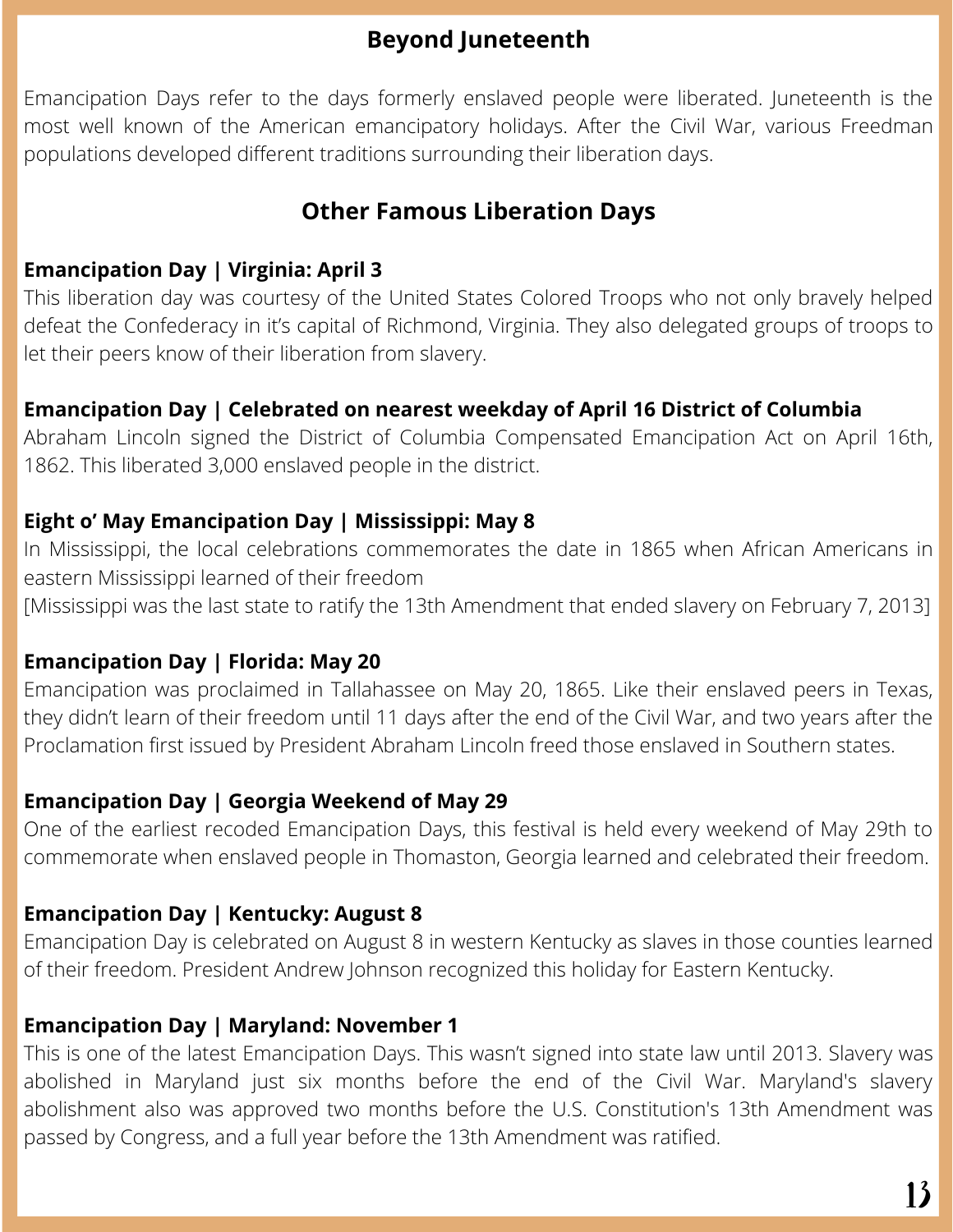### **Beyond Juneteenth**

Emancipation Days refer to the days formerly enslaved people were liberated. Juneteenth is the most well known of the American emancipatory holidays. After the Civil War, various Freedman populations developed different traditions surrounding their liberation days.

## **Other Famous Liberation Days**

#### **Emancipation Day | Virginia: April 3**

This liberation day was courtesy of the United States Colored Troops who not only bravely helped defeat the Confederacy in it's capital of Richmond, Virginia. They also delegated groups of troops to let their peers know of their liberation from slavery.

#### **Emancipation Day | Celebrated on nearest weekday of April 16 District of Columbia**

Abraham Lincoln signed the District of Columbia Compensated Emancipation Act on April 16th, 1862. This liberated 3,000 enslaved people in the district.

#### **Eight o' May Emancipation Day | Mississippi: May 8**

In Mississippi, the local celebrations commemorates the date in 1865 when African Americans in eastern Mississippi learned of their freedom

[Mississippi was the last state to ratify the 13th Amendment that ended slavery on February 7, 2013]

#### **Emancipation Day | Florida: May 20**

Emancipation was proclaimed in Tallahassee on May 20, 1865. Like their enslaved peers in Texas, they didn't learn of their freedom until 11 days after the end of the Civil War, and two years after the Proclamation first issued by President Abraham Lincoln freed those enslaved in Southern states.

#### **Emancipation Day | Georgia Weekend of May 29**

One of the earliest recoded Emancipation Days, this festival is held every weekend of May 29th to commemorate when enslaved people in Thomaston, Georgia learned and celebrated their freedom.

#### **Emancipation Day | Kentucky: August 8**

Emancipation Day is celebrated on August 8 in western Kentucky as slaves in those counties learned of their freedom. President Andrew Johnson recognized this holiday for Eastern Kentucky.

#### **Emancipation Day | Maryland: November 1**

This is one of the latest Emancipation Days. This wasn't signed into state law until 2013. Slavery was abolished in Maryland just six months before the end of the Civil War. Maryland's slavery abolishment also was approved two months before the U.S. Constitution's 13th Amendment was passed by Congress, and a full year before the 13th Amendment was ratified.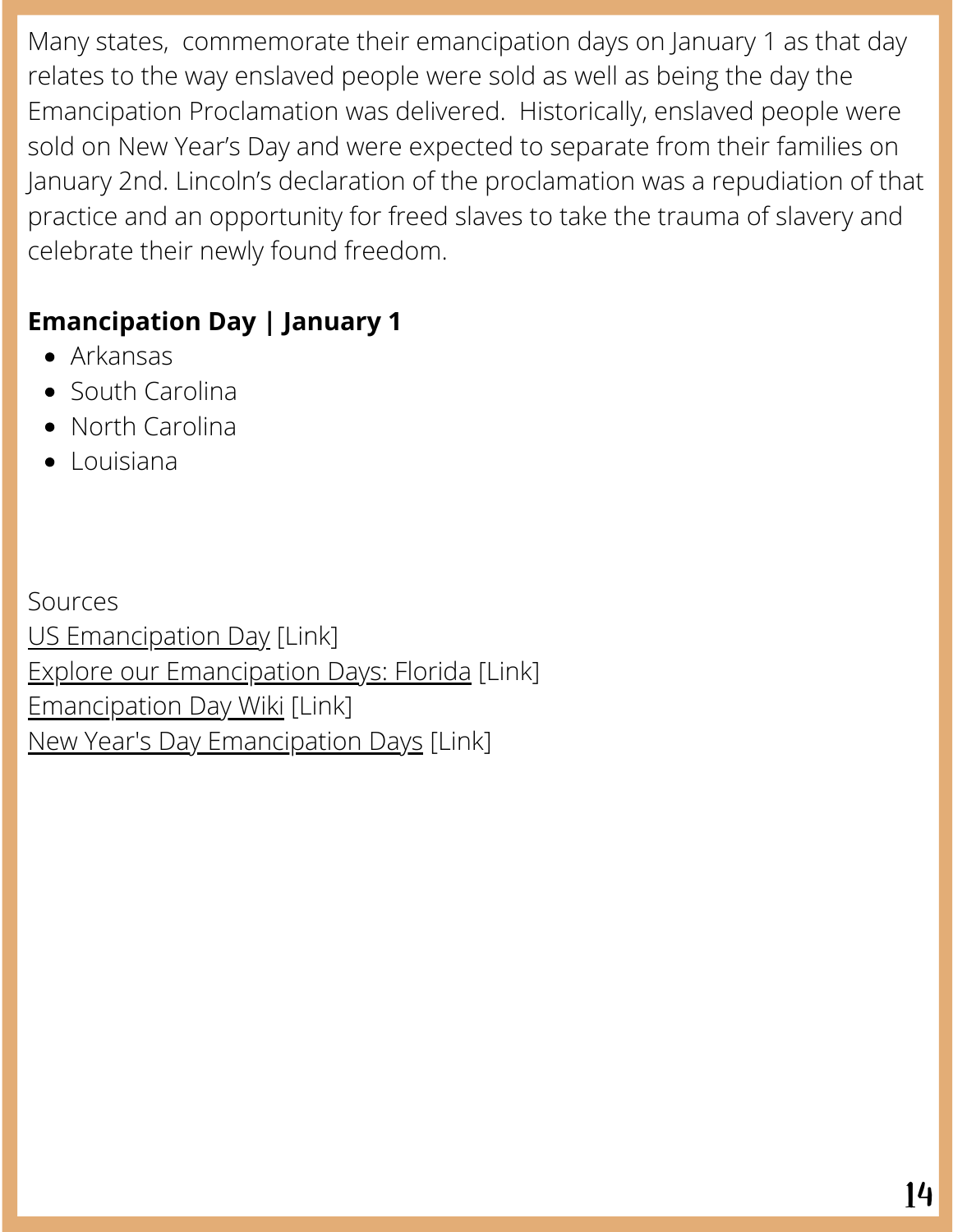Many states, commemorate their emancipation days on January 1 as that day relates to the way enslaved people were sold as well as being the day the Emancipation Proclamation was delivered. Historically, enslaved people were sold on New Year's Day and were expected to separate from their families on January 2nd. Lincoln's declaration of the proclamation was a repudiation of that practice and an opportunity for freed slaves to take the trauma of slavery and celebrate their newly found freedom.

# **Emancipation Day | January 1**

- Arkansas
- South Carolina
- North Carolina
- Louisiana

Sources US [Emancipation](https://www.officeholidays.com/holidays/usa/dc/us-emancipation-day) Day [Link] Explore our [Emancipation](https://dos.myflorida.com/library-archives/research/explore-our-resources/emancipation/) Days: Florida [Link] [Emancipation](https://en.wikipedia.org/wiki/Emancipation_Day) Day Wiki [Link] New Year's Day [Emancipation](https://time.com/5750833/new-years-day-slavery-history/) Days [Link]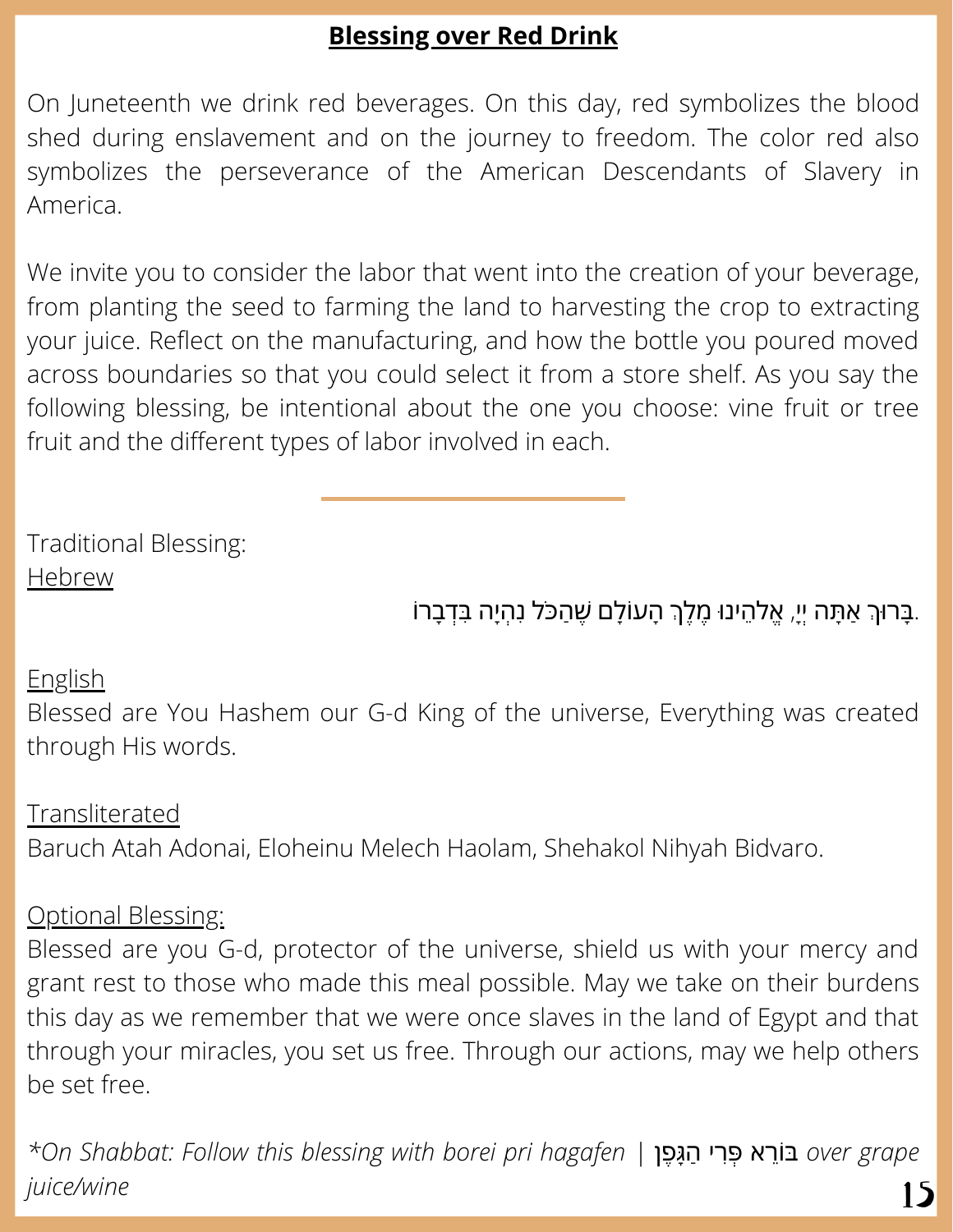## **Blessing over Red Drink**

On Juneteenth we drink red beverages. On this day, red symbolizes the blood shed during enslavement and on the journey to freedom. The color red also symbolizes the perseverance of the American Descendants of Slavery in America.

We invite you to consider the labor that went into the creation of your beverage, from planting the seed to farming the land to harvesting the crop to extracting your juice. Reflect on the manufacturing, and how the bottle you poured moved across boundaries so that you could select it from a store shelf. As you say the following blessing, be intentional about the one you choose: vine fruit or tree fruit and the different types of labor involved in each.

Traditional Blessing: Hebrew

## ָּבָרוּךְ אַתָּה יִיַ, אֱלֹהֵינוּ מֶלֶךְ הָעוֹלַם שֶׁהַכֹּל נְהָיָה בְּדָבָרוֹ.

#### English

Blessed are You Hashem our G-d King of the universe, Everything was created through His words.

Transliterated Baruch Atah Adonai, Eloheinu Melech Haolam, Shehakol Nihyah Bidvaro.

#### Optional Blessing:

Blessed are you G-d, protector of the universe, shield us with your mercy and grant rest to those who made this meal possible. May we take on their burdens this day as we remember that we were once slaves in the land of Egypt and that through your miracles, you set us free. Through our actions, may we help others be set free.

*\*On Shabbat: Follow this blessing with borei pri hagafen |* פןֶגָּהַ ריִפְּ ראֵוֹבּ *over grape juice/wine* 15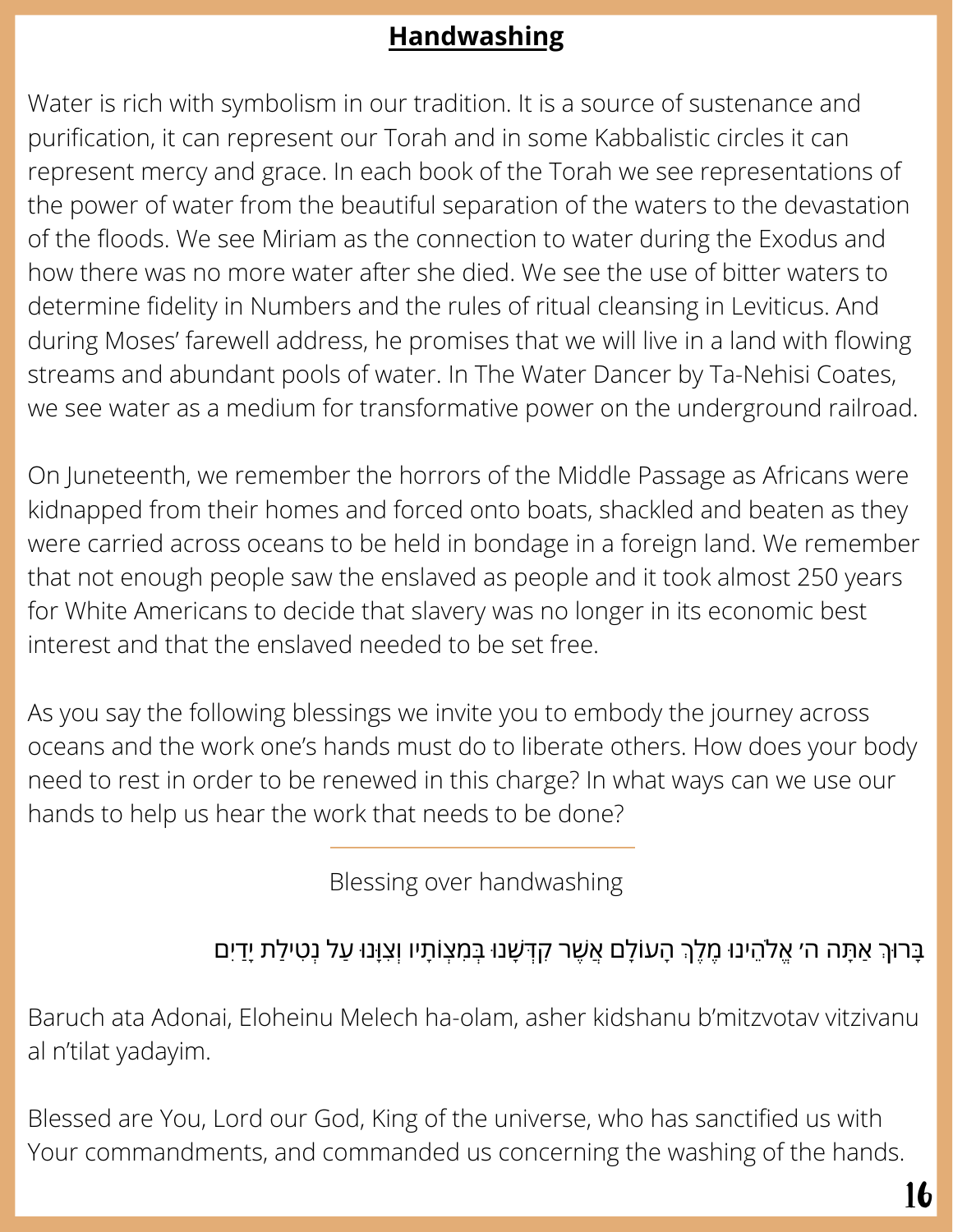# **Handwashing**

Water is rich with symbolism in our tradition. It is a source of sustenance and purification, it can represent our Torah and in some Kabbalistic circles it can represent mercy and grace. In each book of the Torah we see representations of the power of water from the beautiful separation of the waters to the devastation of the floods. We see Miriam as the connection to water during the Exodus and how there was no more water after she died. We see the use of bitter waters to determine fidelity in Numbers and the rules of ritual cleansing in Leviticus. And during Moses' farewell address, he promises that we will live in a land with flowing streams and abundant pools of water. In The Water Dancer by Ta-Nehisi Coates, we see water as a medium for transformative power on the underground railroad.

On Juneteenth, we remember the horrors of the Middle Passage as Africans were kidnapped from their homes and forced onto boats, shackled and beaten as they were carried across oceans to be held in bondage in a foreign land. We remember that not enough people saw the enslaved as people and it took almost 250 years for White Americans to decide that slavery was no longer in its economic best interest and that the enslaved needed to be set free.

As you say the following blessings we invite you to embody the journey across oceans and the work one's hands must do to liberate others. How does your body need to rest in order to be renewed in this charge? In what ways can we use our hands to help us hear the work that needs to be done?

Blessing over handwashing

# ָּבָּרוּךְ אַתָּה ה׳ אֱלֹהֵינוּ מֶלֶךְ הָעוֹלָם אֲשֶׁר קִדְּשָׁנוּ בְּמִצְוֹתָיו וְצִוָּנוּ עַל נְטִילַת יָדַיִם

Baruch ata Adonai, Eloheinu Melech ha-olam, asher kidshanu b'mitzvotav vitzivanu al n'tilat yadayim.

Blessed are You, Lord our God, King of the universe, who has sanctified us with Your commandments, and commanded us concerning the washing of the hands.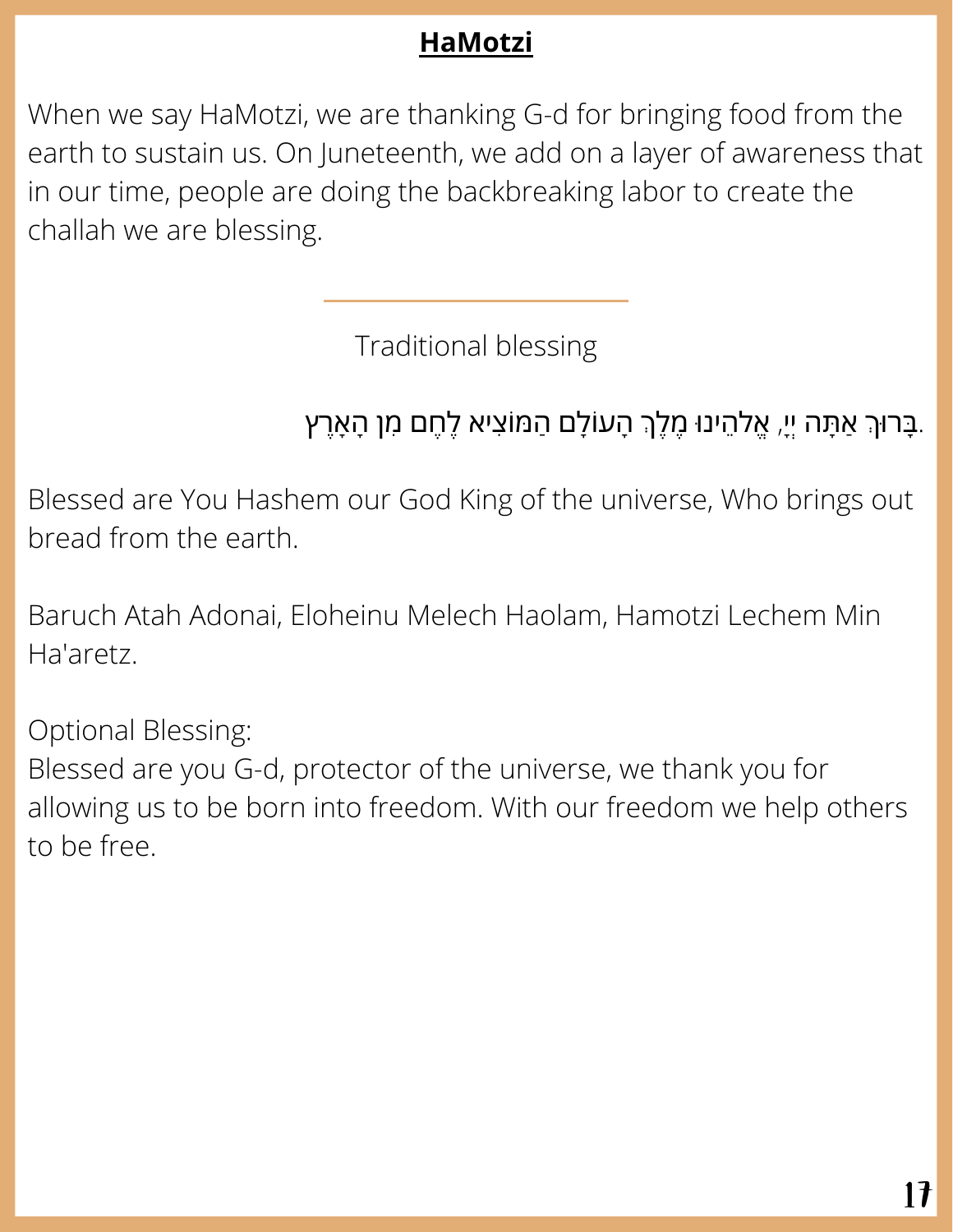# **HaMotzi**

When we say HaMotzi, we are thanking G-d for bringing food from the earth to sustain us. On Juneteenth, we add on a layer of awareness that in our time, people are doing the backbreaking labor to create the challah we are blessing.

Traditional blessing

# ָבְּרוּךְ אַתָּה יִיָ, אֱלֹהֵינוּ מֶלֶךְ הָעוֹלָם הַמּוֹצִיא לֶחֶם מִן הָאָרֶץ.

Blessed are You Hashem our God King of the universe, Who brings out bread from the earth.

Baruch Atah Adonai, Eloheinu Melech Haolam, Hamotzi Lechem Min Ha'aretz.

Optional Blessing: Blessed are you G-d, protector of the universe, we thank you for allowing us to be born into freedom. With our freedom we help others to be free.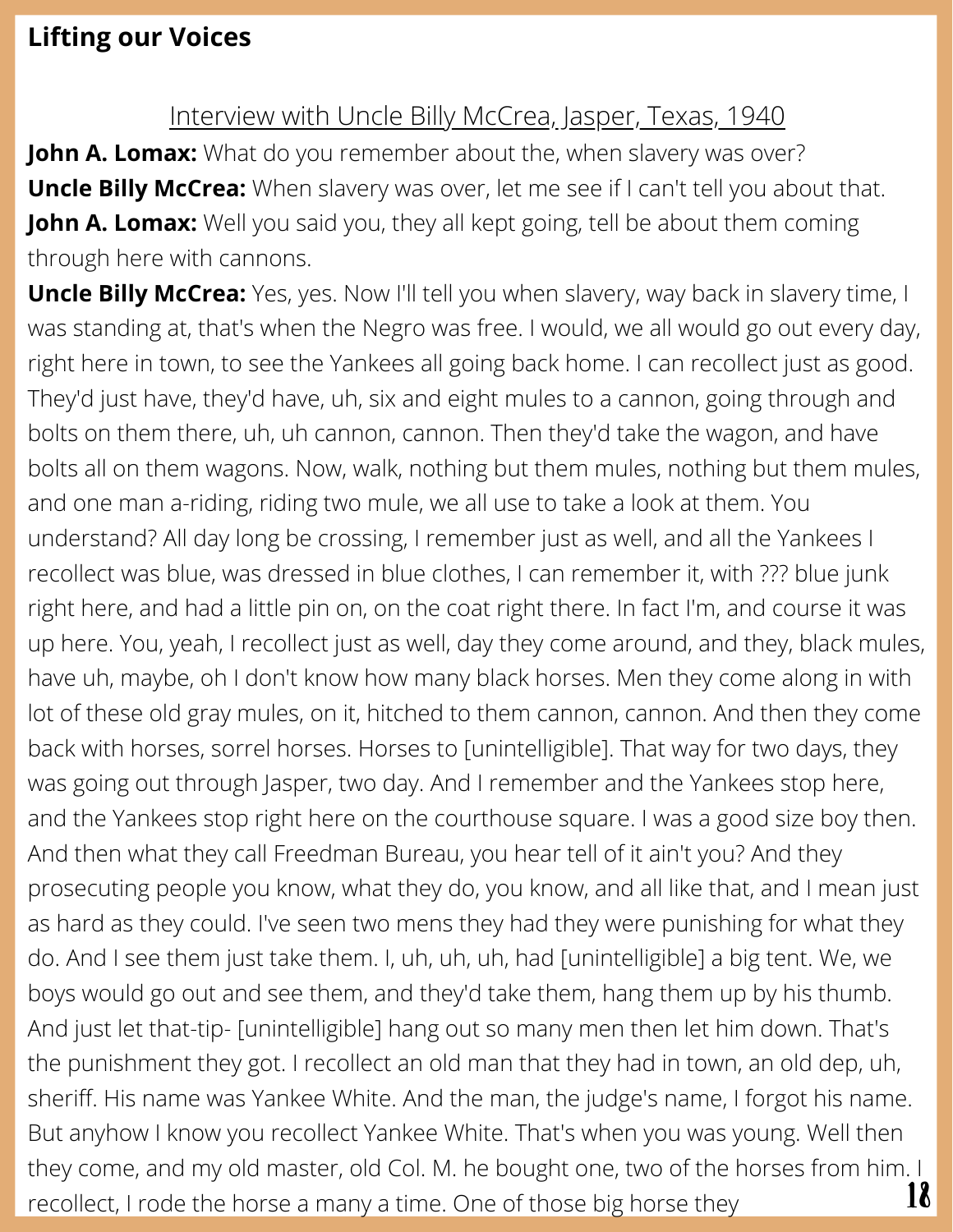### **Lifting our Voices**

#### Interview with Uncle Billy McCrea, Jasper, Texas, 1940

**John A. Lomax:** What do you remember about the, when slavery was over? **Uncle Billy McCrea:** When slavery was over, let me see if I can't tell you about that. **John A. Lomax:** Well you said you, they all kept going, tell be about them coming through here with cannons.

**Uncle Billy McCrea:** Yes, yes. Now I'll tell you when slavery, way back in slavery time, I was standing at, that's when the Negro was free. I would, we all would go out every day, right here in town, to see the Yankees all going back home. I can recollect just as good. They'd just have, they'd have, uh, six and eight mules to a cannon, going through and bolts on them there, uh, uh cannon, cannon. Then they'd take the wagon, and have bolts all on them wagons. Now, walk, nothing but them mules, nothing but them mules, and one man a-riding, riding two mule, we all use to take a look at them. You understand? All day long be crossing, I remember just as well, and all the Yankees I recollect was blue, was dressed in blue clothes, I can remember it, with ??? blue junk right here, and had a little pin on, on the coat right there. In fact I'm, and course it was up here. You, yeah, I recollect just as well, day they come around, and they, black mules, have uh, maybe, oh I don't know how many black horses. Men they come along in with lot of these old gray mules, on it, hitched to them cannon, cannon. And then they come back with horses, sorrel horses. Horses to [unintelligible]. That way for two days, they was going out through Jasper, two day. And I remember and the Yankees stop here, and the Yankees stop right here on the courthouse square. I was a good size boy then. And then what they call Freedman Bureau, you hear tell of it ain't you? And they prosecuting people you know, what they do, you know, and all like that, and I mean just as hard as they could. I've seen two mens they had they were punishing for what they do. And I see them just take them. I, uh, uh, uh, had [unintelligible] a big tent. We, we boys would go out and see them, and they'd take them, hang them up by his thumb. And just let that-tip- [unintelligible] hang out so many men then let him down. That's the punishment they got. I recollect an old man that they had in town, an old dep, uh, sheriff. His name was Yankee White. And the man, the judge's name, I forgot his name. But anyhow I know you recollect Yankee White. That's when you was young. Well then they come, and my old master, old Col. M. he bought one, two of the horses from him. I recollect, I rode the horse a many a time. One of those big horse they  $18$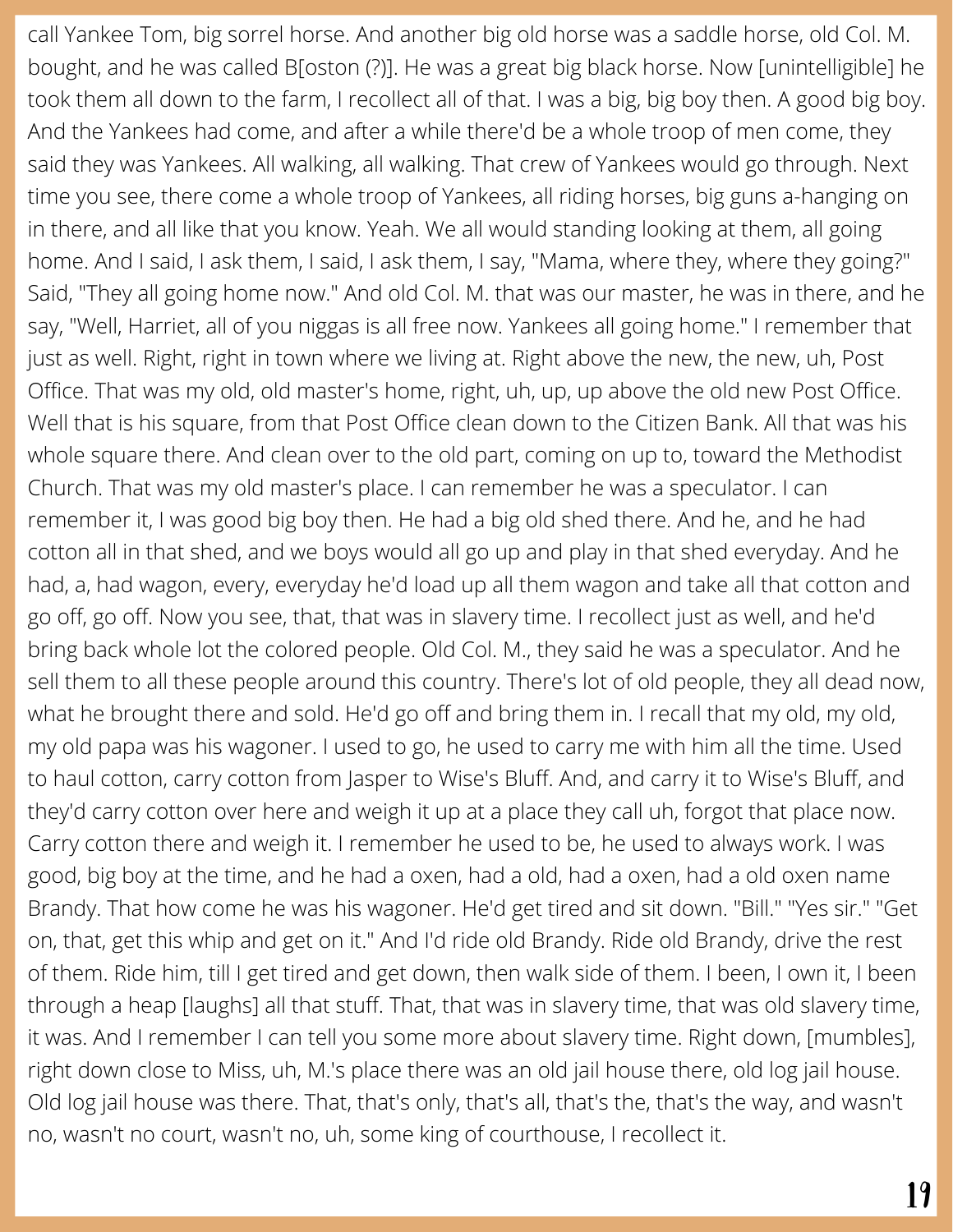call Yankee Tom, big sorrel horse. And another big old horse was a saddle horse, old Col. M. bought, and he was called B[oston (?)]. He was a great big black horse. Now [unintelligible] he took them all down to the farm, I recollect all of that. I was a big, big boy then. A good big boy. And the Yankees had come, and after a while there'd be a whole troop of men come, they said they was Yankees. All walking, all walking. That crew of Yankees would go through. Next time you see, there come a whole troop of Yankees, all riding horses, big guns a-hanging on in there, and all like that you know. Yeah. We all would standing looking at them, all going home. And I said, I ask them, I said, I ask them, I say, "Mama, where they, where they going?" Said, "They all going home now." And old Col. M. that was our master, he was in there, and he say, "Well, Harriet, all of you niggas is all free now. Yankees all going home." I remember that just as well. Right, right in town where we living at. Right above the new, the new, uh, Post Office. That was my old, old master's home, right, uh, up, up above the old new Post Office. Well that is his square, from that Post Office clean down to the Citizen Bank. All that was his whole square there. And clean over to the old part, coming on up to, toward the Methodist Church. That was my old master's place. I can remember he was a speculator. I can remember it, I was good big boy then. He had a big old shed there. And he, and he had cotton all in that shed, and we boys would all go up and play in that shed everyday. And he had, a, had wagon, every, everyday he'd load up all them wagon and take all that cotton and go off, go off. Now you see, that, that was in slavery time. I recollect just as well, and he'd bring back whole lot the colored people. Old Col. M., they said he was a speculator. And he sell them to all these people around this country. There's lot of old people, they all dead now, what he brought there and sold. He'd go off and bring them in. I recall that my old, my old, my old papa was his wagoner. I used to go, he used to carry me with him all the time. Used to haul cotton, carry cotton from Jasper to Wise's Bluff. And, and carry it to Wise's Bluff, and they'd carry cotton over here and weigh it up at a place they call uh, forgot that place now. Carry cotton there and weigh it. I remember he used to be, he used to always work. I was good, big boy at the time, and he had a oxen, had a old, had a oxen, had a old oxen name Brandy. That how come he was his wagoner. He'd get tired and sit down. "Bill." "Yes sir." "Get on, that, get this whip and get on it." And I'd ride old Brandy. Ride old Brandy, drive the rest of them. Ride him, till I get tired and get down, then walk side of them. I been, I own it, I been through a heap [laughs] all that stuff. That, that was in slavery time, that was old slavery time, it was. And I remember I can tell you some more about slavery time. Right down, [mumbles], right down close to Miss, uh, M.'s place there was an old jail house there, old log jail house. Old log jail house was there. That, that's only, that's all, that's the, that's the way, and wasn't no, wasn't no court, wasn't no, uh, some king of courthouse, I recollect it.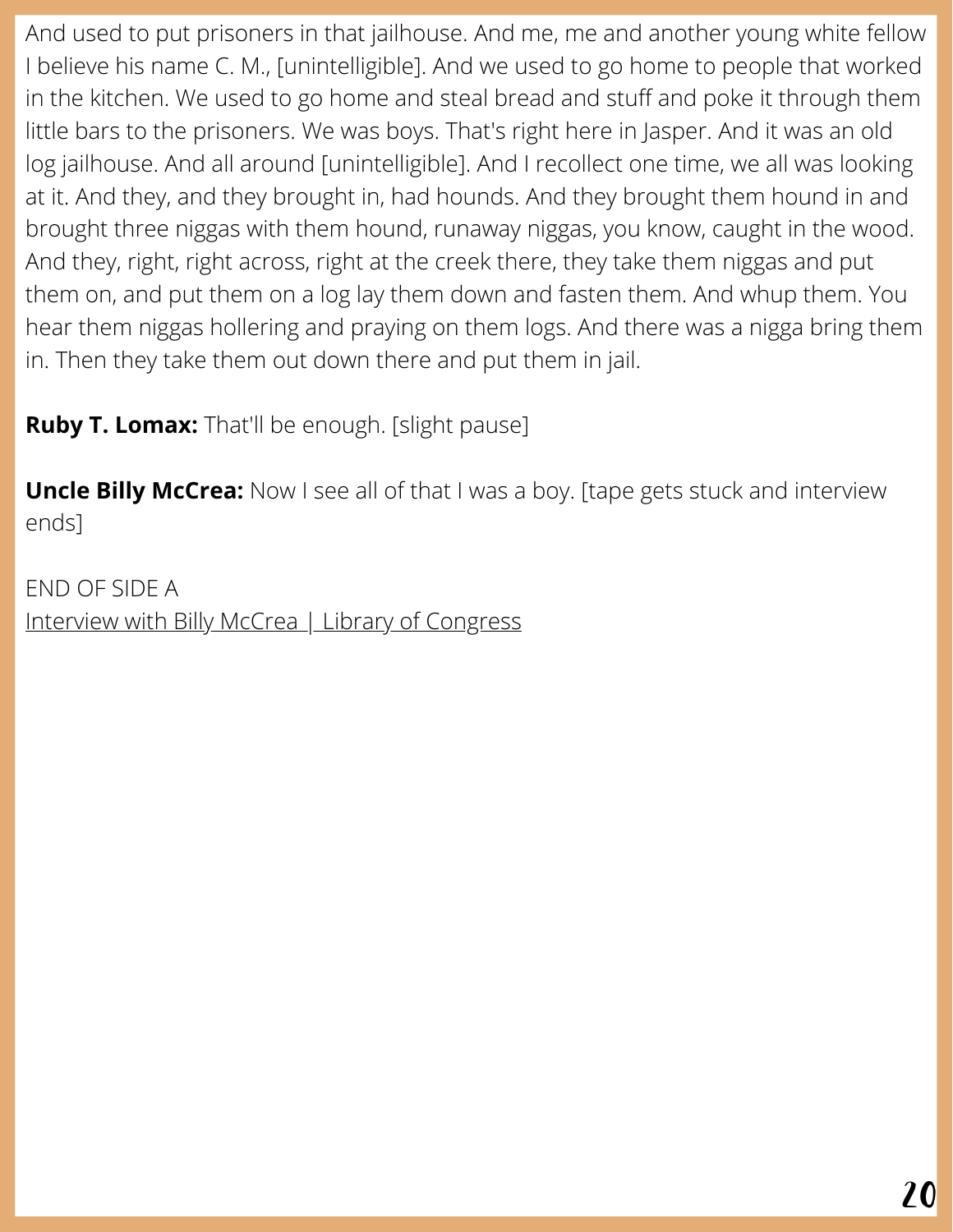And used to put prisoners in that jailhouse. And me, me and another young white fellow I believe his name C. M., [unintelligible]. And we used to go home to people that worked in the kitchen. We used to go home and steal bread and stuff and poke it through them little bars to the prisoners. We was boys. That's right here in Jasper. And it was an old log jailhouse. And all around [unintelligible]. And I recollect one time, we all was looking at it. And they, and they brought in, had hounds. And they brought them hound in and brought three niggas with them hound, runaway niggas, you know, caught in the wood. And they, right, right across, right at the creek there, they take them niggas and put them on, and put them on a log lay them down and fasten them. And whup them. You hear them niggas hollering and praying on them logs. And there was a nigga bring them in. Then they take them out down there and put them in jail.

**Ruby T. Lomax:** That'll be enough. [slight pause]

**Uncle Billy McCrea:** Now I see all of that I was a boy. [tape gets stuck and interview ends]

END OF SIDE A Interview with Billy McCrea | Library of [Congress](http://www.loc.gov/item/afc1940003_000133)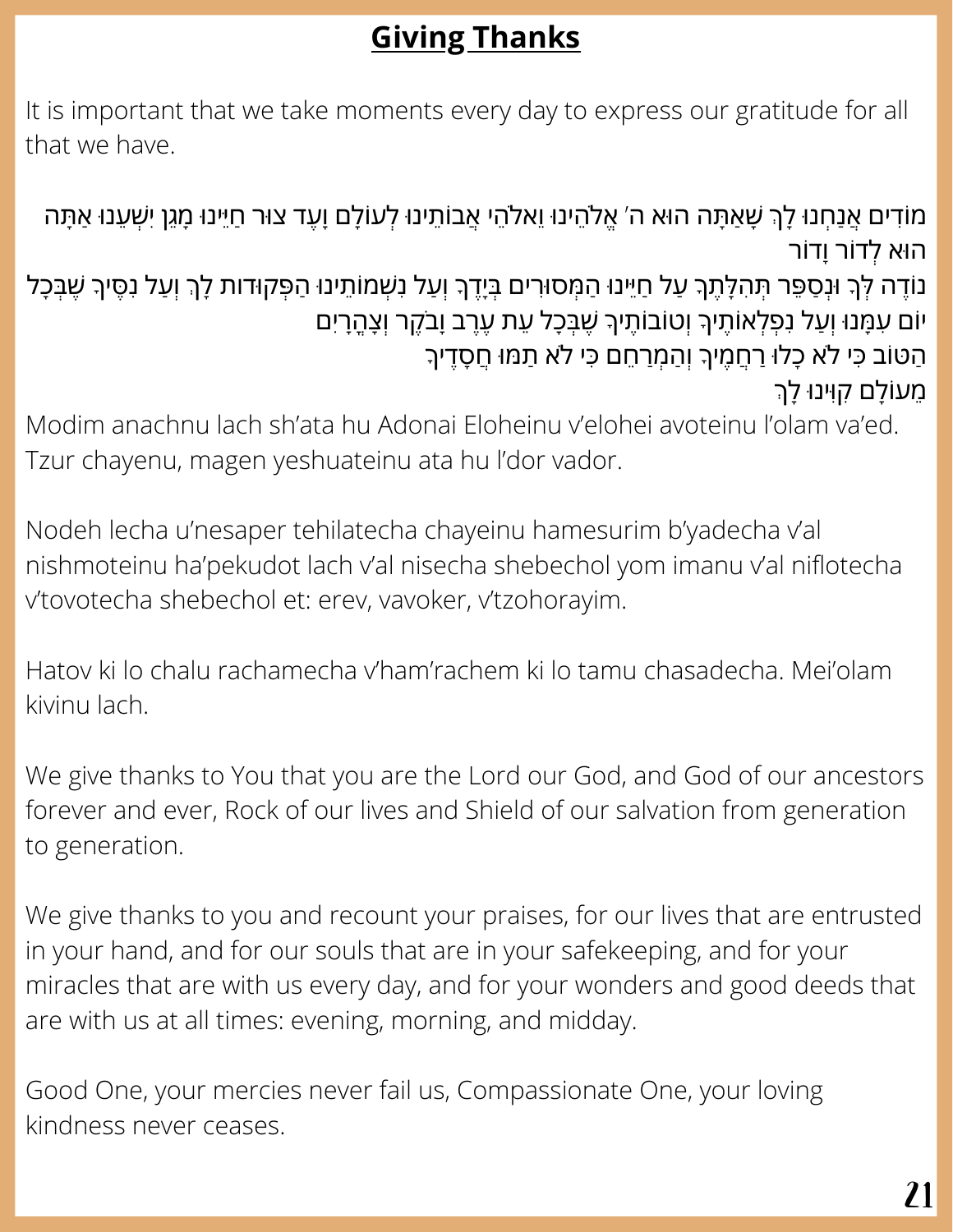# **Giving Thanks**

It is important that we take moments every day to express our gratitude for all that we have.

ְמֹוֹדִים אֲנַחְנוּ לָךְ שָׁאַתָּה הוּא ה׳ אֱלֹהֵינוּ וֵאלֹהֵי אֲבוֹתֵינוּ לְעוֹלָם וָעֵד צוּר חַיֵּינוּ מָגֵן יִשְׁעֵנוּ אַתָּה ה ּוא ְלדֹור ָודֹור נֹוֶדה ְּלָך ּוְנַסֵּפר ְּתִהָּלֶתָך ַעל ַחֵּיינ ּו ַהְּמס ּוִרים ְּבָיֶדָך ְוַעל ִנְׁשמֹוֵתינ ּו ַהְּפק ּודות ָלְך ְוַעל ִנֶּסיָך ֶׁשְּבָכל יוֹם עִמָּנוּ וְעַל נִפְלְאוֹתֶיךָ וְטוֹבוֹתֵיךָ שֶׁבְּכָל עֵת עֶרֵב וָבֹקֵר וְצָהֶרָיִם ֿהַטּוֹב כִּי לֹא כָלוּ רַחֲמֶיךָ וְהַמְרַחֵם כִּי לֹא תַמוּ חֲסָדֵיךָ ְמֵעוֹלָם קִוְינוּ לָךְ

Modim anachnu lach sh'ata hu Adonai Eloheinu v'elohei avoteinu l'olam va'ed. Tzur chayenu, magen yeshuateinu ata hu l'dor vador.

Nodeh lecha u'nesaper tehilatecha chayeinu hamesurim b'yadecha v'al nishmoteinu ha'pekudot lach v'al nisecha shebechol yom imanu v'al niflotecha v'tovotecha shebechol et: erev, vavoker, v'tzohorayim.

Hatov ki lo chalu rachamecha v'ham'rachem ki lo tamu chasadecha. Mei'olam kivinu lach.

We give thanks to You that you are the Lord our God, and God of our ancestors forever and ever, Rock of our lives and Shield of our salvation from generation to generation.

We give thanks to you and recount your praises, for our lives that are entrusted in your hand, and for our souls that are in your safekeeping, and for your miracles that are with us every day, and for your wonders and good deeds that are with us at all times: evening, morning, and midday.

Good One, your mercies never fail us, Compassionate One, your loving kindness never ceases.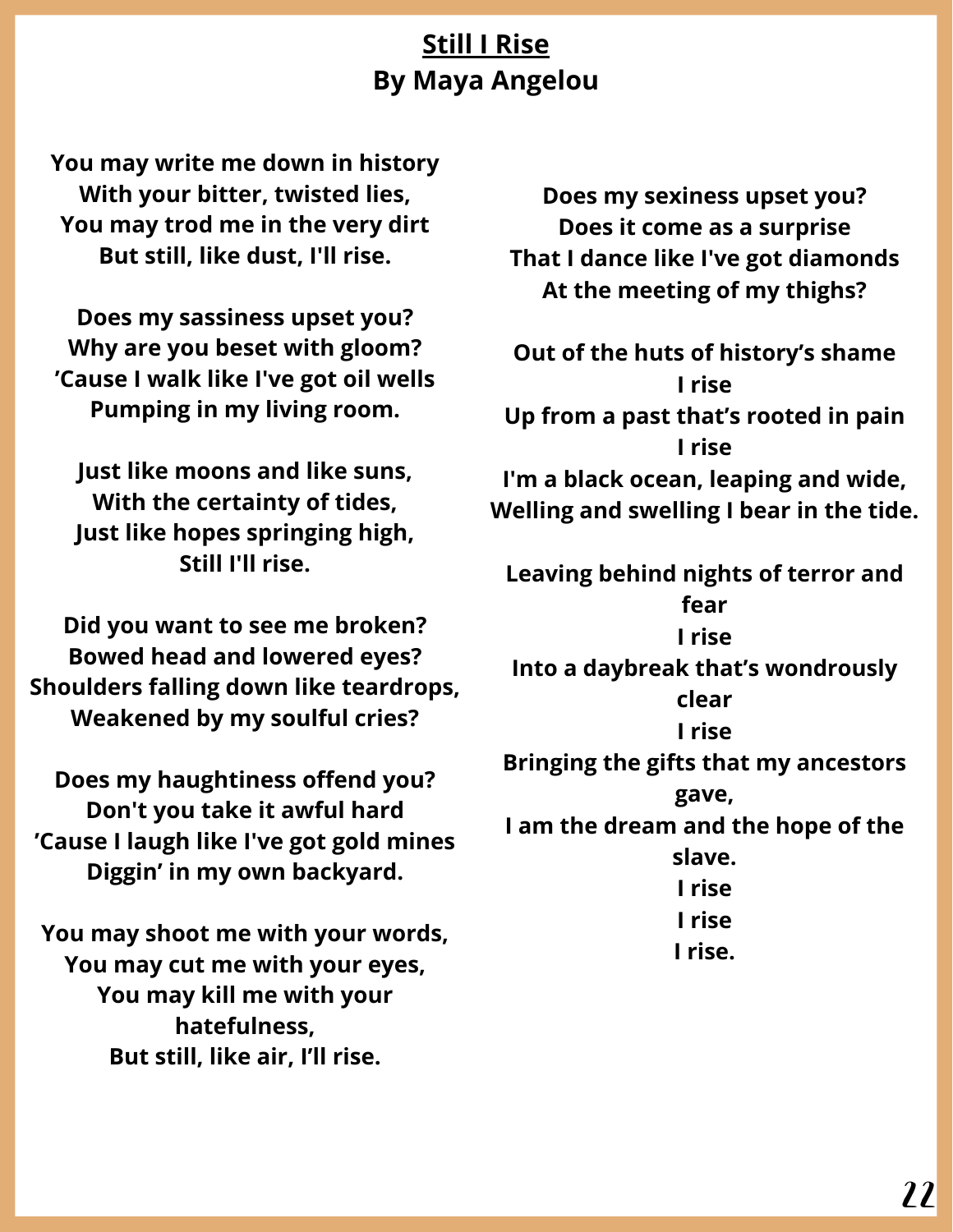# **Still I Rise By Maya Angelou**

**You may write me down in history With your bitter, twisted lies, You may trod me in the very dirt But still, like dust, I'll rise.**

**Does my sassiness upset you? Why are you beset with gloom? 'Cause I walk like I've got oil wells Pumping in my living room.**

**Just like moons and like suns, With the certainty of tides, Just like hopes springing high, Still I'll rise.**

**Did you want to see me broken? Bowed head and lowered eyes? Shoulders falling down like teardrops, Weakened by my soulful cries?**

**Does my haughtiness offend you? Don't you take it awful hard 'Cause I laugh like I've got gold mines Diggin' in my own backyard.**

**You may shoot me with your words, You may cut me with your eyes, You may kill me with your hatefulness, But still, like air, I'll rise.**

**Does my sexiness upset you? Does it come as a surprise That I dance like I've got diamonds At the meeting of my thighs?**

**Out of the huts of history's shame I rise Up from a past that's rooted in pain I rise I'm a black ocean, leaping and wide, Welling and swelling I bear in the tide.**

**Leaving behind nights of terror and fear I rise Into a daybreak that's wondrously clear I rise Bringing the gifts that my ancestors gave, I am the dream and the hope of the slave. I rise I rise I rise.**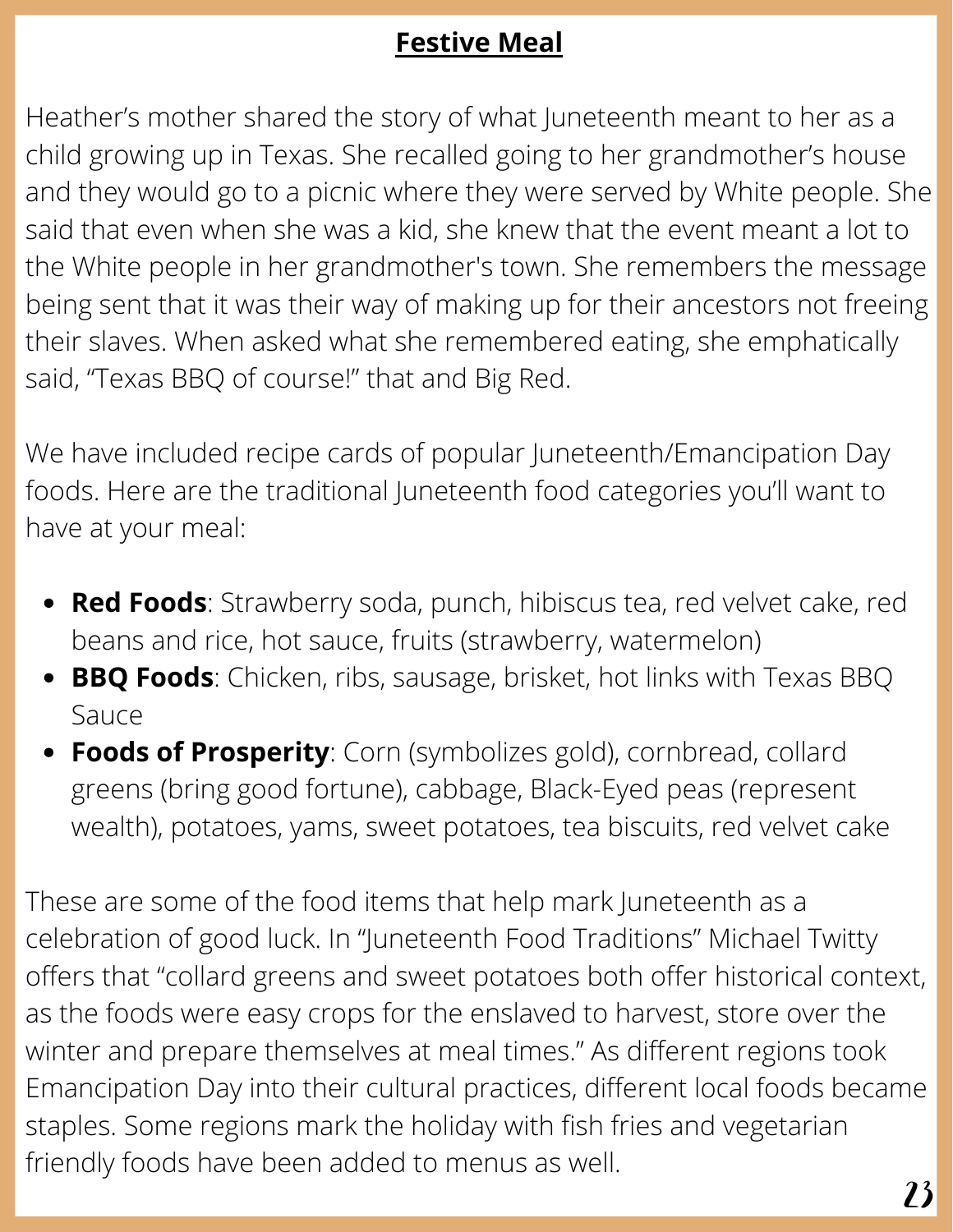# **Festive Meal**

Heather's mother shared the story of what Juneteenth meant to her as a child growing up in Texas. She recalled going to her grandmother's house and they would go to a picnic where they were served by White people. She said that even when she was a kid, she knew that the event meant a lot to the White people in her grandmother's town. She remembers the message being sent that it was their way of making up for their ancestors not freeing their slaves. When asked what she remembered eating, she emphatically said, "Texas BBQ of course!" that and Big Red.

We have included recipe cards of popular Juneteenth/Emancipation Day foods. Here are the traditional Juneteenth food categories you'll want to have at your meal:

- **Red Foods**: Strawberry soda, punch, hibiscus tea, red velvet cake, red beans and rice, hot sauce, fruits (strawberry, watermelon)
- **BBQ Foods**: Chicken, ribs, sausage, brisket, hot links with Texas BBQ Sauce
- **Foods of Prosperity**: Corn (symbolizes gold), cornbread, collard greens (bring good fortune), cabbage, Black-Eyed peas (represent wealth), potatoes, yams, sweet potatoes, tea biscuits, red velvet cake

These are some of the food items that help mark Juneteenth as a celebration of good luck. In "Juneteenth Food Traditions" Michael Twitty offers that "collard greens and sweet potatoes both offer historical context, as the foods were easy crops for the enslaved to harvest, store over the winter and prepare themselves at meal times." As different regions took Emancipation Day into their cultural practices, different local foods became staples. Some regions mark the holiday with fish fries and vegetarian friendly foods have been added to menus as well.